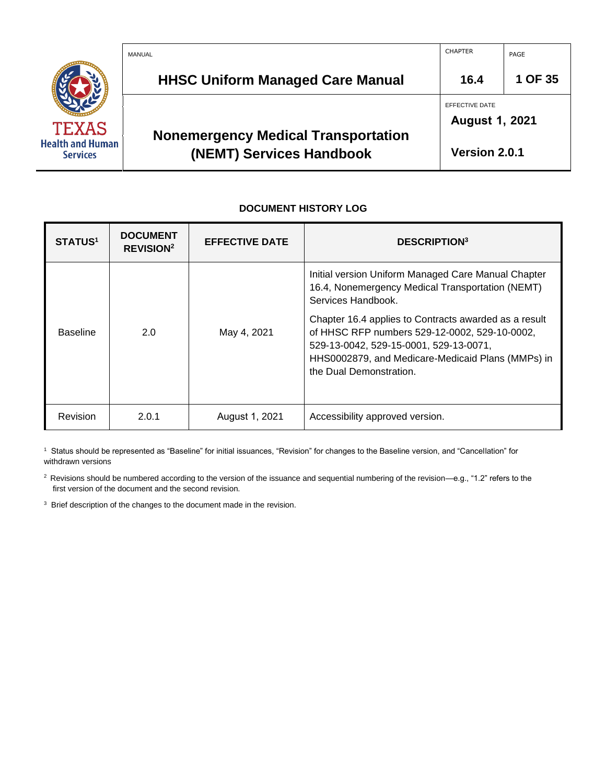|                                            | MANUAL                                                                 | <b>CHAPTER</b>                          | PAGE    |
|--------------------------------------------|------------------------------------------------------------------------|-----------------------------------------|---------|
|                                            | <b>HHSC Uniform Managed Care Manual</b>                                | 16.4                                    | 1 OF 35 |
| <b>TEXAS</b>                               |                                                                        | EFFECTIVE DATE<br><b>August 1, 2021</b> |         |
| <b>Health and Human</b><br><b>Services</b> | <b>Nonemergency Medical Transportation</b><br>(NEMT) Services Handbook | Version 2.0.1                           |         |

#### **DOCUMENT HISTORY LOG**

| <b>STATUS<sup>1</sup></b> | <b>DOCUMENT</b><br><b>REVISION<sup>2</sup></b> | <b>EFFECTIVE DATE</b> | <b>DESCRIPTION</b> <sup>3</sup>                                                                                                                                                                                                  |
|---------------------------|------------------------------------------------|-----------------------|----------------------------------------------------------------------------------------------------------------------------------------------------------------------------------------------------------------------------------|
|                           |                                                |                       | Initial version Uniform Managed Care Manual Chapter<br>16.4, Nonemergency Medical Transportation (NEMT)<br>Services Handbook.                                                                                                    |
| <b>Baseline</b>           | 2.0                                            | May 4, 2021           | Chapter 16.4 applies to Contracts awarded as a result<br>of HHSC RFP numbers 529-12-0002, 529-10-0002,<br>529-13-0042, 529-15-0001, 529-13-0071,<br>HHS0002879, and Medicare-Medicaid Plans (MMPs) in<br>the Dual Demonstration. |
| Revision                  | 2.0.1                                          | August 1, 2021        | Accessibility approved version.                                                                                                                                                                                                  |

1 Status should be represented as "Baseline" for initial issuances, "Revision" for changes to the Baseline version, and "Cancellation" for withdrawn versions

<sup>2</sup> Revisions should be numbered according to the version of the issuance and sequential numbering of the revision—e.g., "1.2" refers to the first version of the document and the second revision.

<sup>3</sup> Brief description of the changes to the document made in the revision.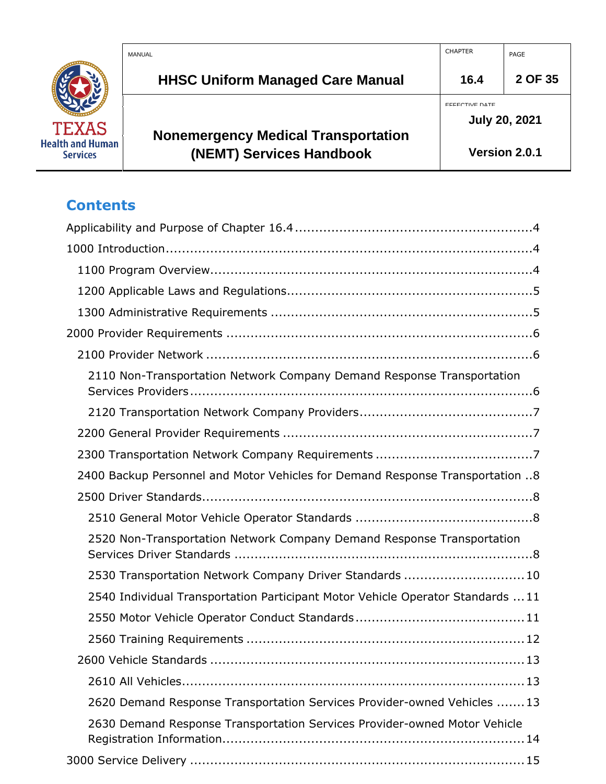|                                            | MANUAL                                                                 | <b>CHAPTER</b>                                | PAGE          |
|--------------------------------------------|------------------------------------------------------------------------|-----------------------------------------------|---------------|
|                                            | <b>HHSC Uniform Managed Care Manual</b>                                | 16.4                                          | 2 OF 35       |
| <b>TEXAS</b>                               |                                                                        | <b>EFFECTIVE DATE</b><br><b>July 20, 2021</b> |               |
| <b>Health and Human</b><br><b>Services</b> | <b>Nonemergency Medical Transportation</b><br>(NEMT) Services Handbook |                                               | Version 2.0.1 |

# **Contents**

| 2110 Non-Transportation Network Company Demand Response Transportation          |
|---------------------------------------------------------------------------------|
|                                                                                 |
|                                                                                 |
|                                                                                 |
| 2400 Backup Personnel and Motor Vehicles for Demand Response Transportation 8   |
|                                                                                 |
|                                                                                 |
| 2520 Non-Transportation Network Company Demand Response Transportation          |
| 2530 Transportation Network Company Driver Standards  10                        |
| 2540 Individual Transportation Participant Motor Vehicle Operator Standards  11 |
|                                                                                 |
|                                                                                 |
|                                                                                 |
|                                                                                 |
| 2620 Demand Response Transportation Services Provider-owned Vehicles  13        |
| 2630 Demand Response Transportation Services Provider-owned Motor Vehicle       |
|                                                                                 |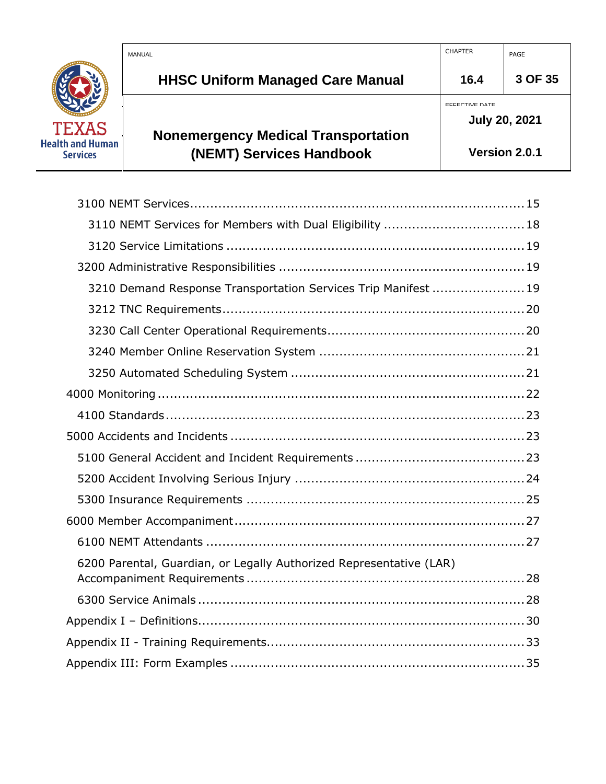|                                            | MANUAL                                                                 | <b>CHAPTER</b>                                | PAGE          |
|--------------------------------------------|------------------------------------------------------------------------|-----------------------------------------------|---------------|
|                                            | <b>HHSC Uniform Managed Care Manual</b>                                | 16.4                                          | 3 OF 35       |
| <b>TEXAS</b>                               |                                                                        | <b>EFFECTIVE DATE</b><br><b>July 20, 2021</b> |               |
| <b>Health and Human</b><br><b>Services</b> | <b>Nonemergency Medical Transportation</b><br>(NEMT) Services Handbook |                                               | Version 2.0.1 |

| 3210 Demand Response Transportation Services Trip Manifest  19      |
|---------------------------------------------------------------------|
|                                                                     |
|                                                                     |
|                                                                     |
|                                                                     |
|                                                                     |
|                                                                     |
|                                                                     |
|                                                                     |
|                                                                     |
|                                                                     |
|                                                                     |
|                                                                     |
| 6200 Parental, Guardian, or Legally Authorized Representative (LAR) |
|                                                                     |
|                                                                     |
|                                                                     |
|                                                                     |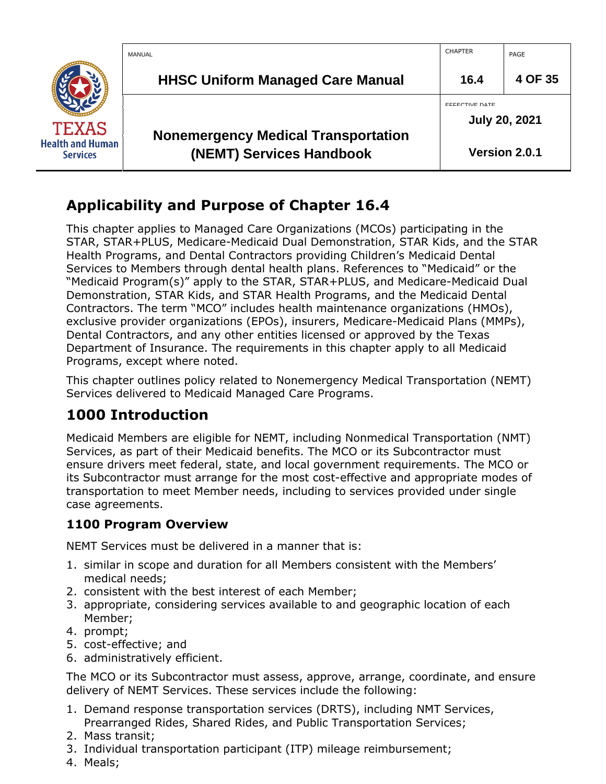|                                            | MANUAL                                                                 | <b>CHAPTER</b>                                | PAGE          |
|--------------------------------------------|------------------------------------------------------------------------|-----------------------------------------------|---------------|
|                                            | <b>HHSC Uniform Managed Care Manual</b>                                | 16.4                                          | 4 OF 35       |
| <b>TEXAS</b>                               |                                                                        | <b>EFFECTIVE DATE</b><br><b>July 20, 2021</b> |               |
| <b>Health and Human</b><br><b>Services</b> | <b>Nonemergency Medical Transportation</b><br>(NEMT) Services Handbook |                                               | Version 2.0.1 |

## <span id="page-3-0"></span>**Applicability and Purpose of Chapter 16.4**

This chapter applies to Managed Care Organizations (MCOs) participating in the STAR, STAR+PLUS, Medicare-Medicaid Dual Demonstration, STAR Kids, and the STAR Health Programs, and Dental Contractors providing Children's Medicaid Dental Services to Members through dental health plans. References to "Medicaid" or the "Medicaid Program(s)" apply to the STAR, STAR+PLUS, and Medicare-Medicaid Dual Demonstration, STAR Kids, and STAR Health Programs, and the Medicaid Dental Contractors. The term "MCO" includes health maintenance organizations (HMOs), exclusive provider organizations (EPOs), insurers, Medicare-Medicaid Plans (MMPs), Dental Contractors, and any other entities licensed or approved by the Texas Department of Insurance. The requirements in this chapter apply to all Medicaid Programs, except where noted.

This chapter outlines policy related to Nonemergency Medical Transportation (NEMT) Services delivered to Medicaid Managed Care Programs.

# <span id="page-3-1"></span>**1000 Introduction**

Medicaid Members are eligible for NEMT, including Nonmedical Transportation (NMT) Services, as part of their Medicaid benefits. The MCO or its Subcontractor must ensure drivers meet federal, state, and local government requirements. The MCO or its Subcontractor must arrange for the most cost-effective and appropriate modes of transportation to meet Member needs, including to services provided under single case agreements.

## <span id="page-3-2"></span>**1100 Program Overview**

NEMT Services must be delivered in a manner that is:

- 1. similar in scope and duration for all Members consistent with the Members' medical needs;
- 2. consistent with the best interest of each Member;
- 3. appropriate, considering services available to and geographic location of each Member;
- 4. prompt;
- 5. cost-effective; and
- 6. administratively efficient.

The MCO or its Subcontractor must assess, approve, arrange, coordinate, and ensure delivery of NEMT Services. These services include the following:

- 1. Demand response transportation services (DRTS), including NMT Services, Prearranged Rides, Shared Rides, and Public Transportation Services;
- 2. Mass transit;
- 3. Individual transportation participant (ITP) mileage reimbursement;
- 4. Meals;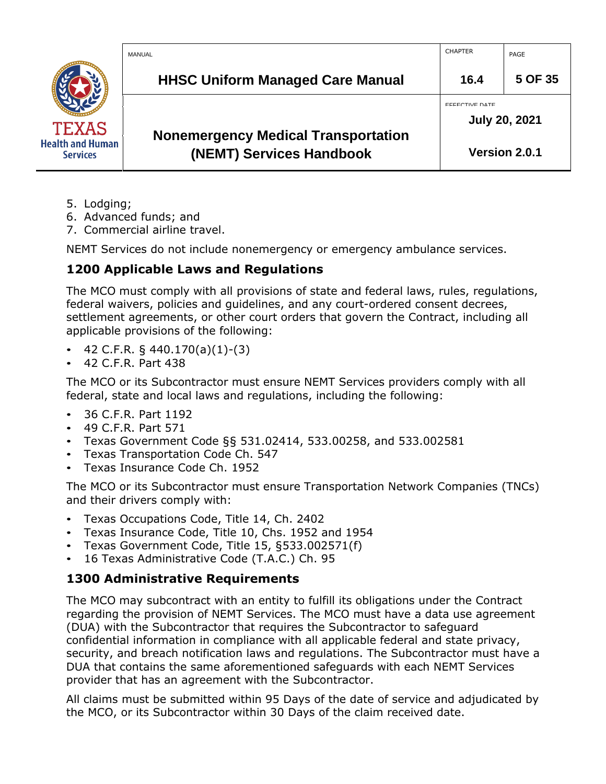|                                            | MANUAL                                                                 | <b>CHAPTER</b> | PAGE                 |
|--------------------------------------------|------------------------------------------------------------------------|----------------|----------------------|
|                                            | <b>HHSC Uniform Managed Care Manual</b>                                | 16.4           | 5 OF 35              |
| <b>TEXAS</b>                               |                                                                        | EFFECTIVE DATE | <b>July 20, 2021</b> |
| <b>Health and Human</b><br><b>Services</b> | <b>Nonemergency Medical Transportation</b><br>(NEMT) Services Handbook |                | Version 2.0.1        |

- 5. Lodging;
- 6. Advanced funds; and
- 7. Commercial airline travel.

NEMT Services do not include nonemergency or emergency ambulance services.

## <span id="page-4-0"></span>**1200 Applicable Laws and Regulations**

The MCO must comply with all provisions of state and federal laws, rules, regulations, federal waivers, policies and guidelines, and any court-ordered consent decrees, settlement agreements, or other court orders that govern the Contract, including all applicable provisions of the following:

- 42 C.F.R. § 440.170(a)(1)-(3)
- 42 C.F.R. Part 438

The MCO or its Subcontractor must ensure NEMT Services providers comply with all federal, state and local laws and regulations, including the following:

- 36 C.F.R. Part 1192
- 49 C.F.R. Part 571
- Texas Government Code §§ 531.02414, 533.00258, and 533.002581
- Texas Transportation Code Ch. 547
- Texas Insurance Code Ch. 1952

The MCO or its Subcontractor must ensure Transportation Network Companies (TNCs) and their drivers comply with:

- Texas Occupations Code, Title 14, Ch. 2402
- Texas Insurance Code, Title 10, Chs. 1952 and 1954
- Texas Government Code, Title 15, §533.002571(f)
- 16 Texas Administrative Code (T.A.C.) Ch. 95

## <span id="page-4-1"></span>**1300 Administrative Requirements**

The MCO may subcontract with an entity to fulfill its obligations under the Contract regarding the provision of NEMT Services. The MCO must have a data use agreement (DUA) with the Subcontractor that requires the Subcontractor to safeguard confidential information in compliance with all applicable federal and state privacy, security, and breach notification laws and regulations. The Subcontractor must have a DUA that contains the same aforementioned safeguards with each NEMT Services provider that has an agreement with the Subcontractor.

All claims must be submitted within 95 Days of the date of service and adjudicated by the MCO, or its Subcontractor within 30 Days of the claim received date.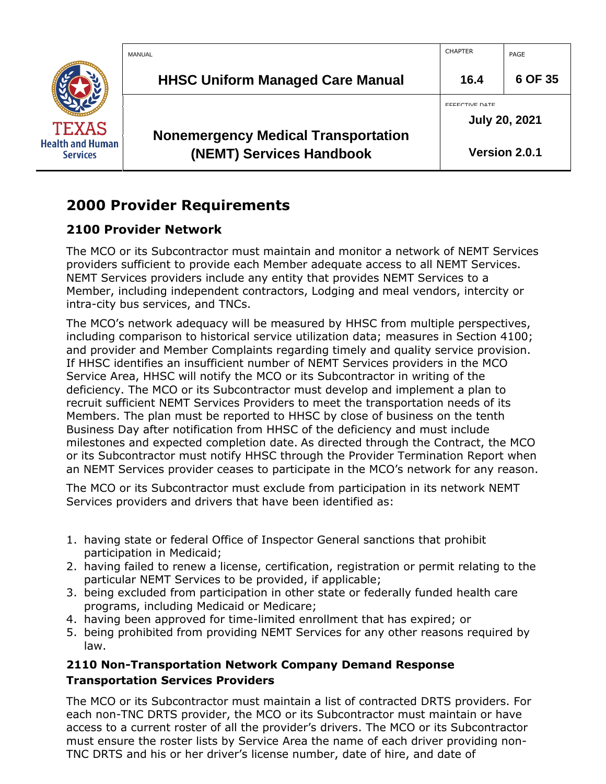

## <span id="page-5-0"></span>**2000 Provider Requirements**

## <span id="page-5-1"></span>**2100 Provider Network**

The MCO or its Subcontractor must maintain and monitor a network of NEMT Services providers sufficient to provide each Member adequate access to all NEMT Services. NEMT Services providers include any entity that provides NEMT Services to a Member, including independent contractors, Lodging and meal vendors, intercity or intra-city bus services, and TNCs.

The MCO's network adequacy will be measured by HHSC from multiple perspectives, including comparison to historical service utilization data; measures in Section 4100; and provider and Member Complaints regarding timely and quality service provision. If HHSC identifies an insufficient number of NEMT Services providers in the MCO Service Area, HHSC will notify the MCO or its Subcontractor in writing of the deficiency. The MCO or its Subcontractor must develop and implement a plan to recruit sufficient NEMT Services Providers to meet the transportation needs of its Members. The plan must be reported to HHSC by close of business on the tenth Business Day after notification from HHSC of the deficiency and must include milestones and expected completion date. As directed through the Contract, the MCO or its Subcontractor must notify HHSC through the Provider Termination Report when an NEMT Services provider ceases to participate in the MCO's network for any reason.

The MCO or its Subcontractor must exclude from participation in its network NEMT Services providers and drivers that have been identified as:

- 1. having state or federal Office of Inspector General sanctions that prohibit participation in Medicaid;
- 2. having failed to renew a license, certification, registration or permit relating to the particular NEMT Services to be provided, if applicable;
- 3. being excluded from participation in other state or federally funded health care programs, including Medicaid or Medicare;
- 4. having been approved for time-limited enrollment that has expired; or
- 5. being prohibited from providing NEMT Services for any other reasons required by law.

## <span id="page-5-2"></span>**2110 Non-Transportation Network Company Demand Response Transportation Services Providers**

The MCO or its Subcontractor must maintain a list of contracted DRTS providers. For each non-TNC DRTS provider, the MCO or its Subcontractor must maintain or have access to a current roster of all the provider's drivers. The MCO or its Subcontractor must ensure the roster lists by Service Area the name of each driver providing non-TNC DRTS and his or her driver's license number, date of hire, and date of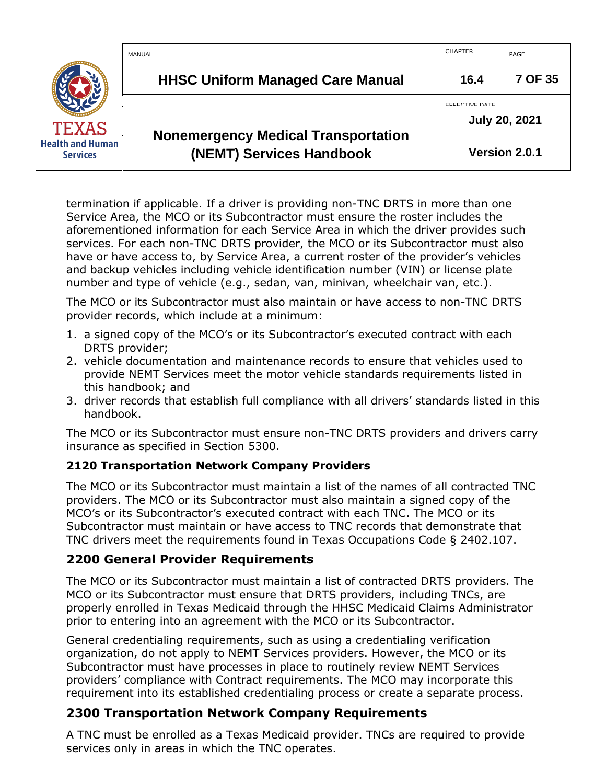|                                            | MANUAL                                                                 | <b>CHAPTER</b>                                | PAGE          |
|--------------------------------------------|------------------------------------------------------------------------|-----------------------------------------------|---------------|
|                                            | <b>HHSC Uniform Managed Care Manual</b>                                | 16.4                                          | 7 OF 35       |
| <b>TEXAS</b>                               |                                                                        | <b>EFFECTIVE DATE</b><br><b>July 20, 2021</b> |               |
| <b>Health and Human</b><br><b>Services</b> | <b>Nonemergency Medical Transportation</b><br>(NEMT) Services Handbook |                                               | Version 2.0.1 |

termination if applicable. If a driver is providing non-TNC DRTS in more than one Service Area, the MCO or its Subcontractor must ensure the roster includes the aforementioned information for each Service Area in which the driver provides such services. For each non-TNC DRTS provider, the MCO or its Subcontractor must also have or have access to, by Service Area, a current roster of the provider's vehicles and backup vehicles including vehicle identification number (VIN) or license plate number and type of vehicle (e.g., sedan, van, minivan, wheelchair van, etc.).

The MCO or its Subcontractor must also maintain or have access to non-TNC DRTS provider records, which include at a minimum:

- 1. a signed copy of the MCO's or its Subcontractor's executed contract with each DRTS provider;
- 2. vehicle documentation and maintenance records to ensure that vehicles used to provide NEMT Services meet the motor vehicle standards requirements listed in this handbook; and
- 3. driver records that establish full compliance with all drivers' standards listed in this handbook.

The MCO or its Subcontractor must ensure non-TNC DRTS providers and drivers carry insurance as specified in Section 5300.

## <span id="page-6-0"></span>**2120 Transportation Network Company Providers**

The MCO or its Subcontractor must maintain a list of the names of all contracted TNC providers. The MCO or its Subcontractor must also maintain a signed copy of the MCO's or its Subcontractor's executed contract with each TNC. The MCO or its Subcontractor must maintain or have access to TNC records that demonstrate that TNC drivers meet the requirements found in Texas Occupations Code § 2402.107.

## <span id="page-6-1"></span>**2200 General Provider Requirements**

The MCO or its Subcontractor must maintain a list of contracted DRTS providers. The MCO or its Subcontractor must ensure that DRTS providers, including TNCs, are properly enrolled in Texas Medicaid through the HHSC Medicaid Claims Administrator prior to entering into an agreement with the MCO or its Subcontractor.

General credentialing requirements, such as using a credentialing verification organization, do not apply to NEMT Services providers. However, the MCO or its Subcontractor must have processes in place to routinely review NEMT Services providers' compliance with Contract requirements. The MCO may incorporate this requirement into its established credentialing process or create a separate process.

## <span id="page-6-2"></span>**2300 Transportation Network Company Requirements**

A TNC must be enrolled as a Texas Medicaid provider. TNCs are required to provide services only in areas in which the TNC operates.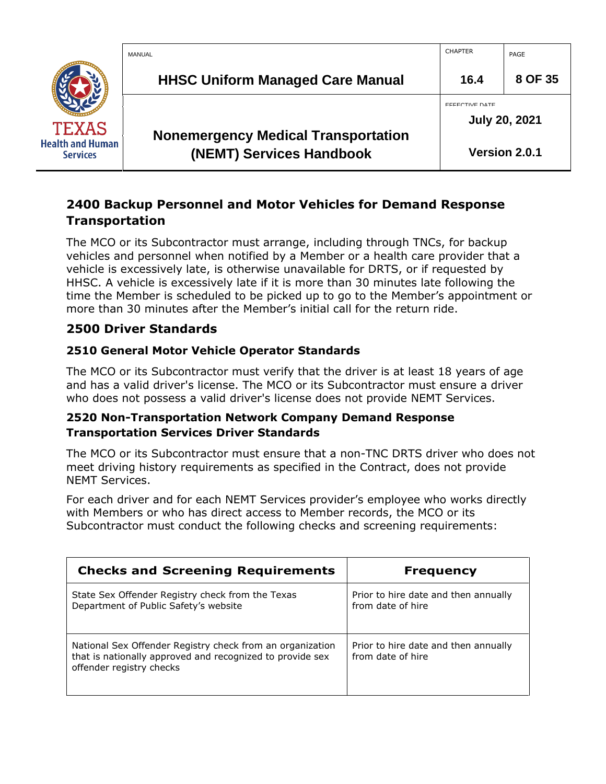

## <span id="page-7-0"></span>**2400 Backup Personnel and Motor Vehicles for Demand Response Transportation**

The MCO or its Subcontractor must arrange, including through TNCs, for backup vehicles and personnel when notified by a Member or a health care provider that a vehicle is excessively late, is otherwise unavailable for DRTS, or if requested by HHSC. A vehicle is excessively late if it is more than 30 minutes late following the time the Member is scheduled to be picked up to go to the Member's appointment or more than 30 minutes after the Member's initial call for the return ride.

## <span id="page-7-1"></span>**2500 Driver Standards**

## <span id="page-7-2"></span>**2510 General Motor Vehicle Operator Standards**

The MCO or its Subcontractor must verify that the driver is at least 18 years of age and has a valid driver's license. The MCO or its Subcontractor must ensure a driver who does not possess a valid driver's license does not provide NEMT Services.

#### <span id="page-7-3"></span>**2520 Non-Transportation Network Company Demand Response Transportation Services Driver Standards**

The MCO or its Subcontractor must ensure that a non-TNC DRTS driver who does not meet driving history requirements as specified in the Contract, does not provide NEMT Services.

For each driver and for each NEMT Services provider's employee who works directly with Members or who has direct access to Member records, the MCO or its Subcontractor must conduct the following checks and screening requirements:

| <b>Checks and Screening Requirements</b>                                                                                                           | <b>Frequency</b>                                          |
|----------------------------------------------------------------------------------------------------------------------------------------------------|-----------------------------------------------------------|
| State Sex Offender Registry check from the Texas<br>Department of Public Safety's website                                                          | Prior to hire date and then annually<br>from date of hire |
| National Sex Offender Registry check from an organization<br>that is nationally approved and recognized to provide sex<br>offender registry checks | Prior to hire date and then annually<br>from date of hire |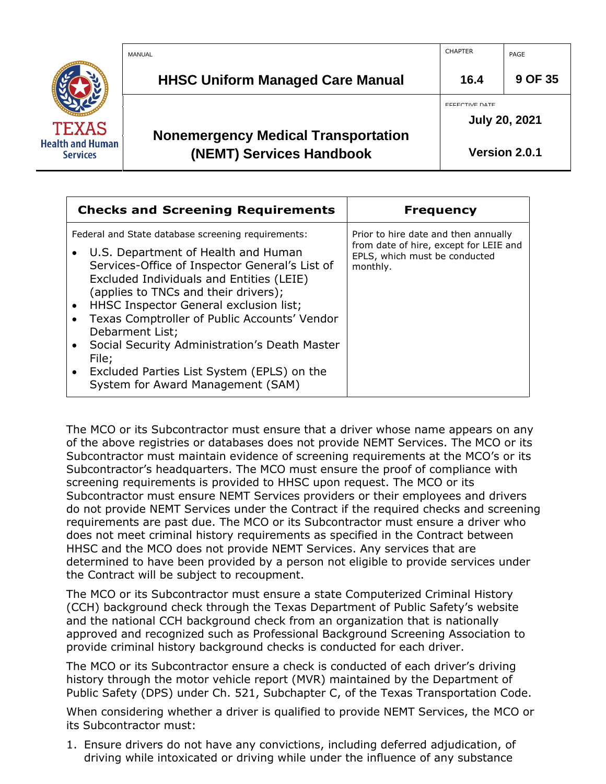|                                            | MANUAL                                                                 | <b>CHAPTER</b> | PAGE                 |
|--------------------------------------------|------------------------------------------------------------------------|----------------|----------------------|
|                                            | <b>HHSC Uniform Managed Care Manual</b>                                | 16.4           | 9 OF 35              |
| <b>TEXAS</b>                               |                                                                        | EFFECTIVE DATE | <b>July 20, 2021</b> |
| <b>Health and Human</b><br><b>Services</b> | <b>Nonemergency Medical Transportation</b><br>(NEMT) Services Handbook |                | Version 2.0.1        |

| <b>Checks and Screening Requirements</b>                                                                                                                                                                                                                                                                                                                                                                                                                 | <b>Frequency</b>                                                                                                            |
|----------------------------------------------------------------------------------------------------------------------------------------------------------------------------------------------------------------------------------------------------------------------------------------------------------------------------------------------------------------------------------------------------------------------------------------------------------|-----------------------------------------------------------------------------------------------------------------------------|
| Federal and State database screening requirements:<br>U.S. Department of Health and Human<br>Services-Office of Inspector General's List of<br>Excluded Individuals and Entities (LEIE)<br>(applies to TNCs and their drivers);<br>HHSC Inspector General exclusion list;<br>Texas Comptroller of Public Accounts' Vendor<br>Debarment List;<br>• Social Security Administration's Death Master<br>File;<br>• Excluded Parties List System (EPLS) on the | Prior to hire date and then annually<br>from date of hire, except for LEIE and<br>EPLS, which must be conducted<br>monthly. |
| System for Award Management (SAM)                                                                                                                                                                                                                                                                                                                                                                                                                        |                                                                                                                             |

The MCO or its Subcontractor must ensure that a driver whose name appears on any of the above registries or databases does not provide NEMT Services. The MCO or its Subcontractor must maintain evidence of screening requirements at the MCO's or its Subcontractor's headquarters. The MCO must ensure the proof of compliance with screening requirements is provided to HHSC upon request. The MCO or its Subcontractor must ensure NEMT Services providers or their employees and drivers do not provide NEMT Services under the Contract if the required checks and screening requirements are past due. The MCO or its Subcontractor must ensure a driver who does not meet criminal history requirements as specified in the Contract between HHSC and the MCO does not provide NEMT Services. Any services that are determined to have been provided by a person not eligible to provide services under the Contract will be subject to recoupment.

The MCO or its Subcontractor must ensure a state Computerized Criminal History (CCH) background check through the Texas Department of Public Safety's website and the national CCH background check from an organization that is nationally approved and recognized such as Professional Background Screening Association to provide criminal history background checks is conducted for each driver.

The MCO or its Subcontractor ensure a check is conducted of each driver's driving history through the motor vehicle report (MVR) maintained by the Department of Public Safety (DPS) under Ch. 521, Subchapter C, of the Texas Transportation Code.

When considering whether a driver is qualified to provide NEMT Services, the MCO or its Subcontractor must:

1. Ensure drivers do not have any convictions, including deferred adjudication, of driving while intoxicated or driving while under the influence of any substance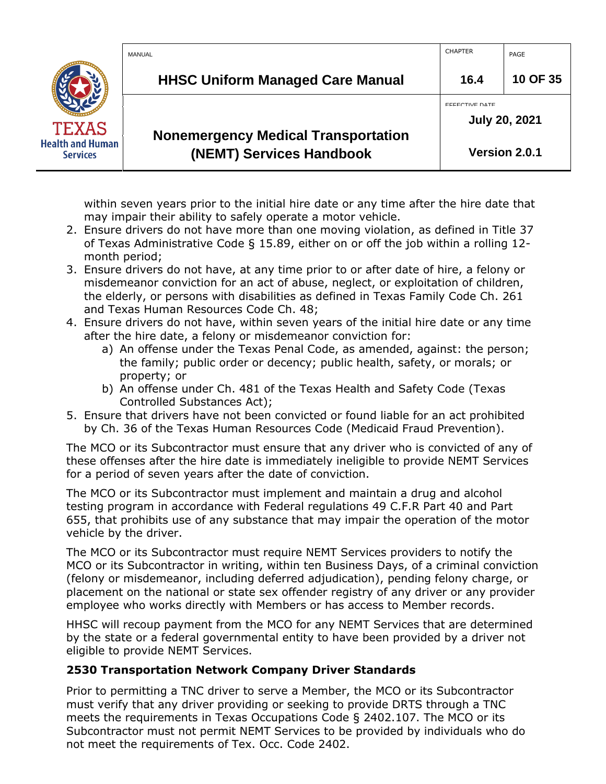|                                            | MANUAL                                                                 | <b>CHAPTER</b>                                | PAGE          |
|--------------------------------------------|------------------------------------------------------------------------|-----------------------------------------------|---------------|
|                                            | <b>HHSC Uniform Managed Care Manual</b>                                | 16.4                                          | 10 OF 35      |
| TEXAS                                      |                                                                        | <b>EFFECTIVE DATE</b><br><b>July 20, 2021</b> |               |
| <b>Health and Human</b><br><b>Services</b> | <b>Nonemergency Medical Transportation</b><br>(NEMT) Services Handbook |                                               | Version 2.0.1 |

within seven years prior to the initial hire date or any time after the hire date that may impair their ability to safely operate a motor vehicle.

- 2. Ensure drivers do not have more than one moving violation, as defined in Title 37 of Texas Administrative Code § 15.89, either on or off the job within a rolling 12 month period;
- 3. Ensure drivers do not have, at any time prior to or after date of hire, a felony or misdemeanor conviction for an act of abuse, neglect, or exploitation of children, the elderly, or persons with disabilities as defined in Texas Family Code Ch. 261 and Texas Human Resources Code Ch. 48;
- 4. Ensure drivers do not have, within seven years of the initial hire date or any time after the hire date, a felony or misdemeanor conviction for:
	- a) An offense under the Texas Penal Code, as amended, against: the person; the family; public order or decency; public health, safety, or morals; or property; or
	- b) An offense under Ch. 481 of the Texas Health and Safety Code (Texas Controlled Substances Act);
- 5. Ensure that drivers have not been convicted or found liable for an act prohibited by Ch. 36 of the Texas Human Resources Code (Medicaid Fraud Prevention).

The MCO or its Subcontractor must ensure that any driver who is convicted of any of these offenses after the hire date is immediately ineligible to provide NEMT Services for a period of seven years after the date of conviction.

The MCO or its Subcontractor must implement and maintain a drug and alcohol testing program in accordance with Federal regulations 49 C.F.R Part 40 and Part 655, that prohibits use of any substance that may impair the operation of the motor vehicle by the driver.

The MCO or its Subcontractor must require NEMT Services providers to notify the MCO or its Subcontractor in writing, within ten Business Days, of a criminal conviction (felony or misdemeanor, including deferred adjudication), pending felony charge, or placement on the national or state sex offender registry of any driver or any provider employee who works directly with Members or has access to Member records.

HHSC will recoup payment from the MCO for any NEMT Services that are determined by the state or a federal governmental entity to have been provided by a driver not eligible to provide NEMT Services.

## <span id="page-9-0"></span>**2530 Transportation Network Company Driver Standards**

Prior to permitting a TNC driver to serve a Member, the MCO or its Subcontractor must verify that any driver providing or seeking to provide DRTS through a TNC meets the requirements in Texas Occupations Code § 2402.107. The MCO or its Subcontractor must not permit NEMT Services to be provided by individuals who do not meet the requirements of Tex. Occ. Code 2402.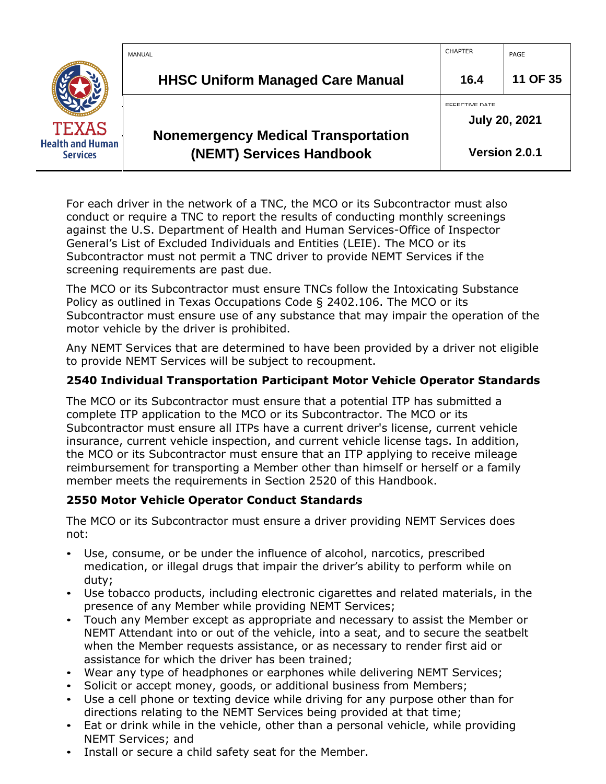|                                            | MANUAL                                                                 | <b>CHAPTER</b>                                | PAGE          |
|--------------------------------------------|------------------------------------------------------------------------|-----------------------------------------------|---------------|
|                                            | <b>HHSC Uniform Managed Care Manual</b>                                | 16.4                                          | 11 OF 35      |
| <b>TEXAS</b>                               |                                                                        | <b>EFFECTIVE DATE</b><br><b>July 20, 2021</b> |               |
| <b>Health and Human</b><br><b>Services</b> | <b>Nonemergency Medical Transportation</b><br>(NEMT) Services Handbook |                                               | Version 2.0.1 |

For each driver in the network of a TNC, the MCO or its Subcontractor must also conduct or require a TNC to report the results of conducting monthly screenings against the U.S. Department of Health and Human Services-Office of Inspector General's List of Excluded Individuals and Entities (LEIE). The MCO or its Subcontractor must not permit a TNC driver to provide NEMT Services if the screening requirements are past due.

The MCO or its Subcontractor must ensure TNCs follow the Intoxicating Substance Policy as outlined in Texas Occupations Code § 2402.106. The MCO or its Subcontractor must ensure use of any substance that may impair the operation of the motor vehicle by the driver is prohibited.

Any NEMT Services that are determined to have been provided by a driver not eligible to provide NEMT Services will be subject to recoupment.

#### <span id="page-10-0"></span>**2540 Individual Transportation Participant Motor Vehicle Operator Standards**

The MCO or its Subcontractor must ensure that a potential ITP has submitted a complete ITP application to the MCO or its Subcontractor. The MCO or its Subcontractor must ensure all ITPs have a current driver's license, current vehicle insurance, current vehicle inspection, and current vehicle license tags. In addition, the MCO or its Subcontractor must ensure that an ITP applying to receive mileage reimbursement for transporting a Member other than himself or herself or a family member meets the requirements in Section 2520 of this Handbook.

#### <span id="page-10-1"></span>**2550 Motor Vehicle Operator Conduct Standards**

The MCO or its Subcontractor must ensure a driver providing NEMT Services does not:

- Use, consume, or be under the influence of alcohol, narcotics, prescribed medication, or illegal drugs that impair the driver's ability to perform while on duty;
- Use tobacco products, including electronic cigarettes and related materials, in the presence of any Member while providing NEMT Services;
- Touch any Member except as appropriate and necessary to assist the Member or NEMT Attendant into or out of the vehicle, into a seat, and to secure the seatbelt when the Member requests assistance, or as necessary to render first aid or assistance for which the driver has been trained;
- Wear any type of headphones or earphones while delivering NEMT Services;
- Solicit or accept money, goods, or additional business from Members;
- Use a cell phone or texting device while driving for any purpose other than for directions relating to the NEMT Services being provided at that time;
- Eat or drink while in the vehicle, other than a personal vehicle, while providing NEMT Services; and
- Install or secure a child safety seat for the Member.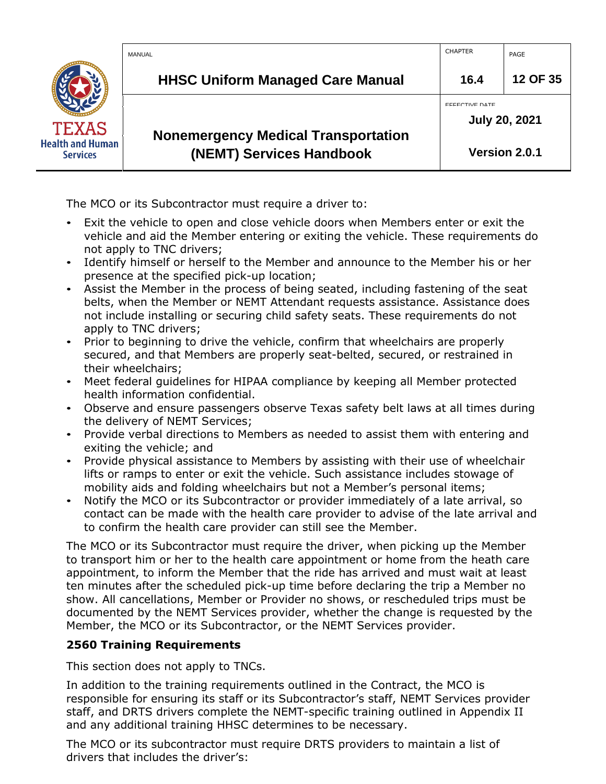|                                            | MANUAL                                                                 | <b>CHAPTER</b>                                | PAGE          |
|--------------------------------------------|------------------------------------------------------------------------|-----------------------------------------------|---------------|
|                                            | <b>HHSC Uniform Managed Care Manual</b>                                | 16.4                                          | 12 OF 35      |
| <b>TEXAS</b>                               |                                                                        | <b>EFFECTIVE DATE</b><br><b>July 20, 2021</b> |               |
| <b>Health and Human</b><br><b>Services</b> | <b>Nonemergency Medical Transportation</b><br>(NEMT) Services Handbook |                                               | Version 2.0.1 |

The MCO or its Subcontractor must require a driver to:

- Exit the vehicle to open and close vehicle doors when Members enter or exit the vehicle and aid the Member entering or exiting the vehicle. These requirements do not apply to TNC drivers;
- Identify himself or herself to the Member and announce to the Member his or her presence at the specified pick-up location;
- Assist the Member in the process of being seated, including fastening of the seat belts, when the Member or NEMT Attendant requests assistance. Assistance does not include installing or securing child safety seats. These requirements do not apply to TNC drivers;
- Prior to beginning to drive the vehicle, confirm that wheelchairs are properly secured, and that Members are properly seat-belted, secured, or restrained in their wheelchairs;
- Meet federal guidelines for HIPAA compliance by keeping all Member protected health information confidential.
- Observe and ensure passengers observe Texas safety belt laws at all times during the delivery of NEMT Services;
- Provide verbal directions to Members as needed to assist them with entering and exiting the vehicle; and
- Provide physical assistance to Members by assisting with their use of wheelchair lifts or ramps to enter or exit the vehicle. Such assistance includes stowage of mobility aids and folding wheelchairs but not a Member's personal items;
- Notify the MCO or its Subcontractor or provider immediately of a late arrival, so contact can be made with the health care provider to advise of the late arrival and to confirm the health care provider can still see the Member.

The MCO or its Subcontractor must require the driver, when picking up the Member to transport him or her to the health care appointment or home from the heath care appointment, to inform the Member that the ride has arrived and must wait at least ten minutes after the scheduled pick-up time before declaring the trip a Member no show. All cancellations, Member or Provider no shows, or rescheduled trips must be documented by the NEMT Services provider, whether the change is requested by the Member, the MCO or its Subcontractor, or the NEMT Services provider.

## <span id="page-11-0"></span>**2560 Training Requirements**

This section does not apply to TNCs.

In addition to the training requirements outlined in the Contract, the MCO is responsible for ensuring its staff or its Subcontractor's staff, NEMT Services provider staff, and DRTS drivers complete the NEMT-specific training outlined in Appendix II and any additional training HHSC determines to be necessary.

The MCO or its subcontractor must require DRTS providers to maintain a list of drivers that includes the driver's: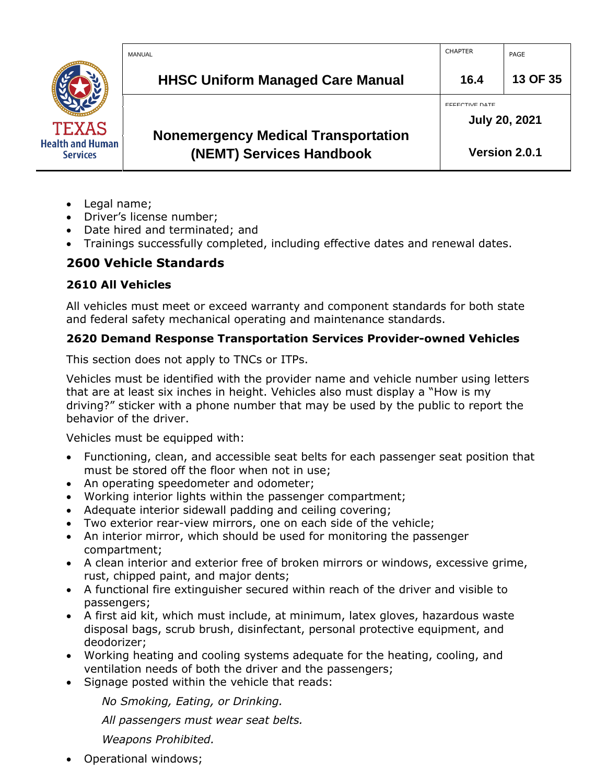|                                            | MANUAL                                                                 | <b>CHAPTER</b>                                | PAGE          |
|--------------------------------------------|------------------------------------------------------------------------|-----------------------------------------------|---------------|
|                                            | <b>HHSC Uniform Managed Care Manual</b>                                | 16.4                                          | 13 OF 35      |
| <b>TEXAS</b>                               |                                                                        | <b>EFFECTIVE DATE</b><br><b>July 20, 2021</b> |               |
| <b>Health and Human</b><br><b>Services</b> | <b>Nonemergency Medical Transportation</b><br>(NEMT) Services Handbook |                                               | Version 2.0.1 |

- Legal name;
- Driver's license number;
- Date hired and terminated; and
- Trainings successfully completed, including effective dates and renewal dates.

## <span id="page-12-0"></span>**2600 Vehicle Standards**

## <span id="page-12-1"></span>**2610 All Vehicles**

All vehicles must meet or exceed warranty and component standards for both state and federal safety mechanical operating and maintenance standards.

## <span id="page-12-2"></span>**2620 Demand Response Transportation Services Provider-owned Vehicles**

This section does not apply to TNCs or ITPs.

Vehicles must be identified with the provider name and vehicle number using letters that are at least six inches in height. Vehicles also must display a "How is my driving?" sticker with a phone number that may be used by the public to report the behavior of the driver.

Vehicles must be equipped with:

- Functioning, clean, and accessible seat belts for each passenger seat position that must be stored off the floor when not in use;
- An operating speedometer and odometer;
- Working interior lights within the passenger compartment;
- Adequate interior sidewall padding and ceiling covering;
- Two exterior rear-view mirrors, one on each side of the vehicle;
- An interior mirror, which should be used for monitoring the passenger compartment;
- A clean interior and exterior free of broken mirrors or windows, excessive grime, rust, chipped paint, and major dents;
- A functional fire extinguisher secured within reach of the driver and visible to passengers;
- A first aid kit, which must include, at minimum, latex gloves, hazardous waste disposal bags, scrub brush, disinfectant, personal protective equipment, and deodorizer;
- Working heating and cooling systems adequate for the heating, cooling, and ventilation needs of both the driver and the passengers;
- Signage posted within the vehicle that reads:

*No Smoking, Eating, or Drinking.*

*All passengers must wear seat belts.*

*Weapons Prohibited.*

• Operational windows;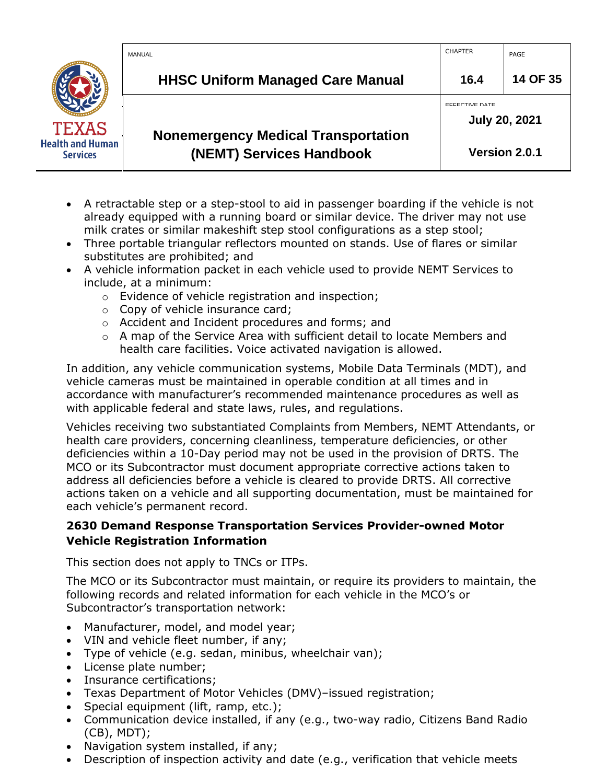|                                            | MANUAL                                                                 | <b>CHAPTER</b> | PAGE                 |
|--------------------------------------------|------------------------------------------------------------------------|----------------|----------------------|
|                                            | <b>HHSC Uniform Managed Care Manual</b>                                | 16.4           | 14 OF 35             |
| <b>TEXAS</b>                               |                                                                        | EFFECTIVE DATE | <b>July 20, 2021</b> |
| <b>Health and Human</b><br><b>Services</b> | <b>Nonemergency Medical Transportation</b><br>(NEMT) Services Handbook |                | Version 2.0.1        |

- A retractable step or a step-stool to aid in passenger boarding if the vehicle is not already equipped with a running board or similar device. The driver may not use milk crates or similar makeshift step stool configurations as a step stool;
- Three portable triangular reflectors mounted on stands. Use of flares or similar substitutes are prohibited; and
- A vehicle information packet in each vehicle used to provide NEMT Services to include, at a minimum:
	- o Evidence of vehicle registration and inspection;
	- o Copy of vehicle insurance card;
	- o Accident and Incident procedures and forms; and
	- $\circ$  A map of the Service Area with sufficient detail to locate Members and health care facilities. Voice activated navigation is allowed.

In addition, any vehicle communication systems, Mobile Data Terminals (MDT), and vehicle cameras must be maintained in operable condition at all times and in accordance with manufacturer's recommended maintenance procedures as well as with applicable federal and state laws, rules, and regulations.

Vehicles receiving two substantiated Complaints from Members, NEMT Attendants, or health care providers, concerning cleanliness, temperature deficiencies, or other deficiencies within a 10-Day period may not be used in the provision of DRTS. The MCO or its Subcontractor must document appropriate corrective actions taken to address all deficiencies before a vehicle is cleared to provide DRTS. All corrective actions taken on a vehicle and all supporting documentation, must be maintained for each vehicle's permanent record.

## <span id="page-13-0"></span>**2630 Demand Response Transportation Services Provider-owned Motor Vehicle Registration Information**

This section does not apply to TNCs or ITPs.

The MCO or its Subcontractor must maintain, or require its providers to maintain, the following records and related information for each vehicle in the MCO's or Subcontractor's transportation network:

- Manufacturer, model, and model year;
- VIN and vehicle fleet number, if any;
- Type of vehicle (e.g. sedan, minibus, wheelchair van);
- License plate number;
- Insurance certifications;
- Texas Department of Motor Vehicles (DMV)–issued registration;
- Special equipment (lift, ramp, etc.);
- Communication device installed, if any (e.g., two-way radio, Citizens Band Radio (CB), MDT);
- Navigation system installed, if any;
- Description of inspection activity and date (e.g., verification that vehicle meets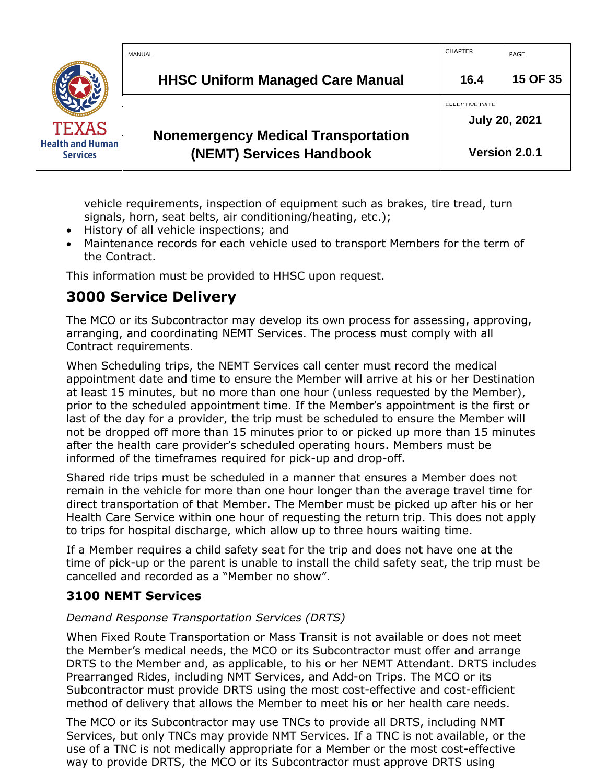|                                            | MANUAL                                                                 | <b>CHAPTER</b>                                | PAGE     |
|--------------------------------------------|------------------------------------------------------------------------|-----------------------------------------------|----------|
|                                            | <b>HHSC Uniform Managed Care Manual</b>                                | 16.4                                          | 15 OF 35 |
| <b>TEXAS</b>                               |                                                                        | <b>EFFECTIVE DATE</b><br><b>July 20, 2021</b> |          |
| <b>Health and Human</b><br><b>Services</b> | <b>Nonemergency Medical Transportation</b><br>(NEMT) Services Handbook | Version 2.0.1                                 |          |

vehicle requirements, inspection of equipment such as brakes, tire tread, turn signals, horn, seat belts, air conditioning/heating, etc.);

- History of all vehicle inspections; and
- Maintenance records for each vehicle used to transport Members for the term of the Contract.

This information must be provided to HHSC upon request.

## <span id="page-14-0"></span>**3000 Service Delivery**

The MCO or its Subcontractor may develop its own process for assessing, approving, arranging, and coordinating NEMT Services. The process must comply with all Contract requirements.

When Scheduling trips, the NEMT Services call center must record the medical appointment date and time to ensure the Member will arrive at his or her Destination at least 15 minutes, but no more than one hour (unless requested by the Member), prior to the scheduled appointment time. If the Member's appointment is the first or last of the day for a provider, the trip must be scheduled to ensure the Member will not be dropped off more than 15 minutes prior to or picked up more than 15 minutes after the health care provider's scheduled operating hours. Members must be informed of the timeframes required for pick-up and drop-off.

Shared ride trips must be scheduled in a manner that ensures a Member does not remain in the vehicle for more than one hour longer than the average travel time for direct transportation of that Member. The Member must be picked up after his or her Health Care Service within one hour of requesting the return trip. This does not apply to trips for hospital discharge, which allow up to three hours waiting time.

If a Member requires a child safety seat for the trip and does not have one at the time of pick-up or the parent is unable to install the child safety seat, the trip must be cancelled and recorded as a "Member no show".

## <span id="page-14-1"></span>**3100 NEMT Services**

## *Demand Response Transportation Services (DRTS)*

When Fixed Route Transportation or Mass Transit is not available or does not meet the Member's medical needs, the MCO or its Subcontractor must offer and arrange DRTS to the Member and, as applicable, to his or her NEMT Attendant. DRTS includes Prearranged Rides, including NMT Services, and Add-on Trips. The MCO or its Subcontractor must provide DRTS using the most cost-effective and cost-efficient method of delivery that allows the Member to meet his or her health care needs.

The MCO or its Subcontractor may use TNCs to provide all DRTS, including NMT Services, but only TNCs may provide NMT Services. If a TNC is not available, or the use of a TNC is not medically appropriate for a Member or the most cost-effective way to provide DRTS, the MCO or its Subcontractor must approve DRTS using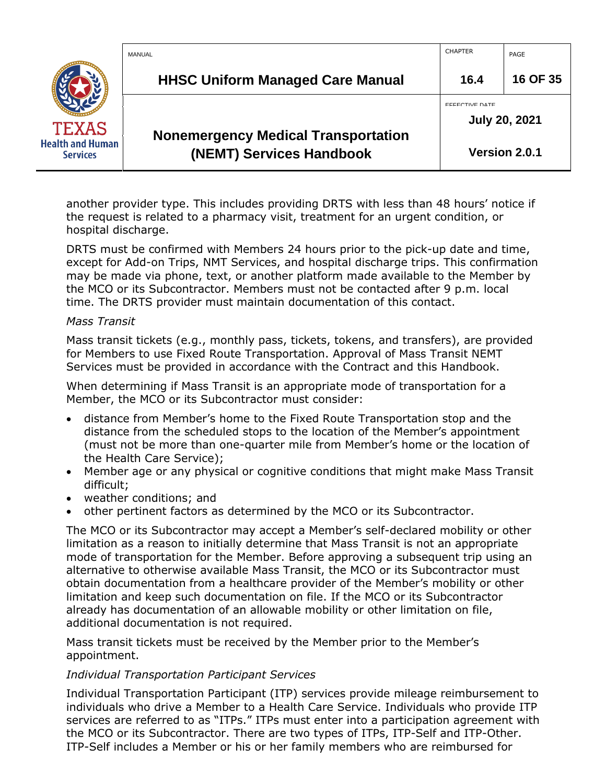|                                            | MANUAL                                                                 | <b>CHAPTER</b>                                | PAGE          |
|--------------------------------------------|------------------------------------------------------------------------|-----------------------------------------------|---------------|
|                                            | <b>HHSC Uniform Managed Care Manual</b>                                | 16.4                                          | 16 OF 35      |
| <b>TEXAS</b>                               |                                                                        | <b>FFFECTIVE DATE</b><br><b>July 20, 2021</b> |               |
| <b>Health and Human</b><br><b>Services</b> | <b>Nonemergency Medical Transportation</b><br>(NEMT) Services Handbook |                                               | Version 2.0.1 |

another provider type. This includes providing DRTS with less than 48 hours' notice if the request is related to a pharmacy visit, treatment for an urgent condition, or hospital discharge.

DRTS must be confirmed with Members 24 hours prior to the pick-up date and time, except for Add-on Trips, NMT Services, and hospital discharge trips. This confirmation may be made via phone, text, or another platform made available to the Member by the MCO or its Subcontractor. Members must not be contacted after 9 p.m. local time. The DRTS provider must maintain documentation of this contact.

#### *Mass Transit*

Mass transit tickets (e.g., monthly pass, tickets, tokens, and transfers), are provided for Members to use Fixed Route Transportation. Approval of Mass Transit NEMT Services must be provided in accordance with the Contract and this Handbook.

When determining if Mass Transit is an appropriate mode of transportation for a Member, the MCO or its Subcontractor must consider:

- distance from Member's home to the Fixed Route Transportation stop and the distance from the scheduled stops to the location of the Member's appointment (must not be more than one-quarter mile from Member's home or the location of the Health Care Service);
- Member age or any physical or cognitive conditions that might make Mass Transit difficult;
- weather conditions; and
- other pertinent factors as determined by the MCO or its Subcontractor.

The MCO or its Subcontractor may accept a Member's self-declared mobility or other limitation as a reason to initially determine that Mass Transit is not an appropriate mode of transportation for the Member. Before approving a subsequent trip using an alternative to otherwise available Mass Transit, the MCO or its Subcontractor must obtain documentation from a healthcare provider of the Member's mobility or other limitation and keep such documentation on file. If the MCO or its Subcontractor already has documentation of an allowable mobility or other limitation on file, additional documentation is not required.

Mass transit tickets must be received by the Member prior to the Member's appointment.

#### *Individual Transportation Participant Services*

Individual Transportation Participant (ITP) services provide mileage reimbursement to individuals who drive a Member to a Health Care Service. Individuals who provide ITP services are referred to as "ITPs." ITPs must enter into a participation agreement with the MCO or its Subcontractor. There are two types of ITPs, ITP-Self and ITP-Other. ITP-Self includes a Member or his or her family members who are reimbursed for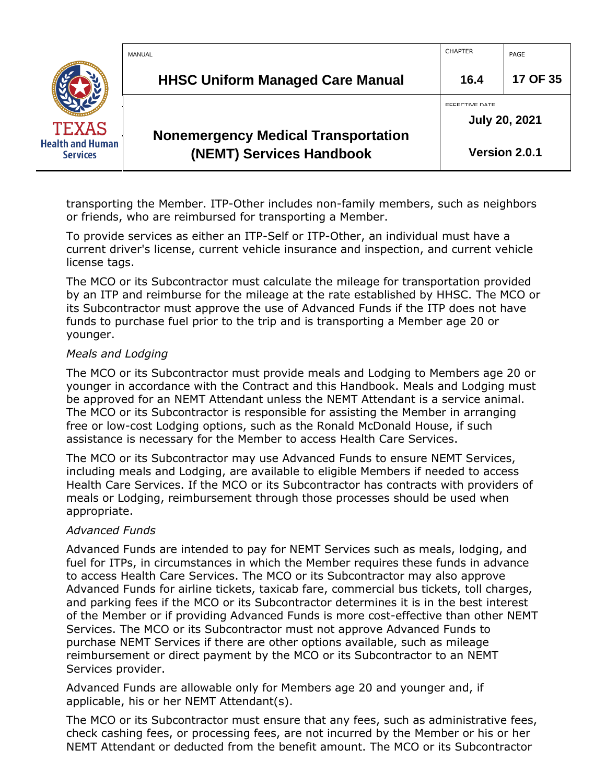|                                            | MANUAL                                                                 | <b>CHAPTER</b>                                | PAGE          |
|--------------------------------------------|------------------------------------------------------------------------|-----------------------------------------------|---------------|
|                                            | <b>HHSC Uniform Managed Care Manual</b>                                | 16.4                                          | 17 OF 35      |
| <b>TEXAS</b>                               |                                                                        | <b>FFFECTIVE DATE</b><br><b>July 20, 2021</b> |               |
| <b>Health and Human</b><br><b>Services</b> | <b>Nonemergency Medical Transportation</b><br>(NEMT) Services Handbook |                                               | Version 2.0.1 |

transporting the Member. ITP-Other includes non-family members, such as neighbors or friends, who are reimbursed for transporting a Member.

To provide services as either an ITP-Self or ITP-Other, an individual must have a current driver's license, current vehicle insurance and inspection, and current vehicle license tags.

The MCO or its Subcontractor must calculate the mileage for transportation provided by an ITP and reimburse for the mileage at the rate established by HHSC. The MCO or its Subcontractor must approve the use of Advanced Funds if the ITP does not have funds to purchase fuel prior to the trip and is transporting a Member age 20 or younger.

#### *Meals and Lodging*

The MCO or its Subcontractor must provide meals and Lodging to Members age 20 or younger in accordance with the Contract and this Handbook. Meals and Lodging must be approved for an NEMT Attendant unless the NEMT Attendant is a service animal. The MCO or its Subcontractor is responsible for assisting the Member in arranging free or low-cost Lodging options, such as the Ronald McDonald House, if such assistance is necessary for the Member to access Health Care Services.

The MCO or its Subcontractor may use Advanced Funds to ensure NEMT Services, including meals and Lodging, are available to eligible Members if needed to access Health Care Services. If the MCO or its Subcontractor has contracts with providers of meals or Lodging, reimbursement through those processes should be used when appropriate.

#### *Advanced Funds*

Advanced Funds are intended to pay for NEMT Services such as meals, lodging, and fuel for ITPs, in circumstances in which the Member requires these funds in advance to access Health Care Services. The MCO or its Subcontractor may also approve Advanced Funds for airline tickets, taxicab fare, commercial bus tickets, toll charges, and parking fees if the MCO or its Subcontractor determines it is in the best interest of the Member or if providing Advanced Funds is more cost-effective than other NEMT Services. The MCO or its Subcontractor must not approve Advanced Funds to purchase NEMT Services if there are other options available, such as mileage reimbursement or direct payment by the MCO or its Subcontractor to an NEMT Services provider.

Advanced Funds are allowable only for Members age 20 and younger and, if applicable, his or her NEMT Attendant(s).

The MCO or its Subcontractor must ensure that any fees, such as administrative fees, check cashing fees, or processing fees, are not incurred by the Member or his or her NEMT Attendant or deducted from the benefit amount. The MCO or its Subcontractor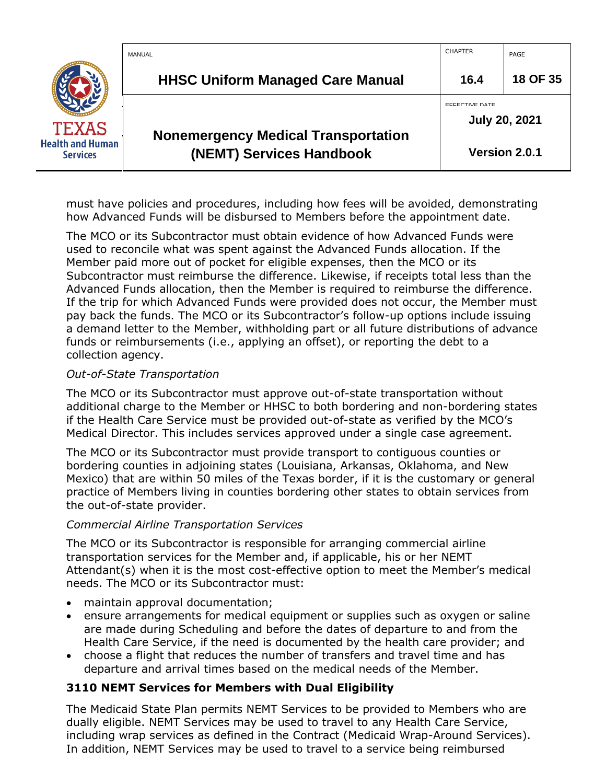|                                            | MANUAL                                                                 | <b>CHAPTER</b>                                | PAGE          |
|--------------------------------------------|------------------------------------------------------------------------|-----------------------------------------------|---------------|
|                                            | <b>HHSC Uniform Managed Care Manual</b>                                | 16.4                                          | 18 OF 35      |
| <b>TEXAS</b>                               |                                                                        | <b>FFFECTIVE DATE</b><br><b>July 20, 2021</b> |               |
| <b>Health and Human</b><br><b>Services</b> | <b>Nonemergency Medical Transportation</b><br>(NEMT) Services Handbook |                                               | Version 2.0.1 |

must have policies and procedures, including how fees will be avoided, demonstrating how Advanced Funds will be disbursed to Members before the appointment date.

The MCO or its Subcontractor must obtain evidence of how Advanced Funds were used to reconcile what was spent against the Advanced Funds allocation. If the Member paid more out of pocket for eligible expenses, then the MCO or its Subcontractor must reimburse the difference. Likewise, if receipts total less than the Advanced Funds allocation, then the Member is required to reimburse the difference. If the trip for which Advanced Funds were provided does not occur, the Member must pay back the funds. The MCO or its Subcontractor's follow-up options include issuing a demand letter to the Member, withholding part or all future distributions of advance funds or reimbursements (i.e., applying an offset), or reporting the debt to a collection agency.

#### *Out-of-State Transportation*

The MCO or its Subcontractor must approve out-of-state transportation without additional charge to the Member or HHSC to both bordering and non-bordering states if the Health Care Service must be provided out-of-state as verified by the MCO's Medical Director. This includes services approved under a single case agreement.

The MCO or its Subcontractor must provide transport to contiguous counties or bordering counties in adjoining states (Louisiana, Arkansas, Oklahoma, and New Mexico) that are within 50 miles of the Texas border, if it is the customary or general practice of Members living in counties bordering other states to obtain services from the out-of-state provider.

#### *Commercial Airline Transportation Services*

The MCO or its Subcontractor is responsible for arranging commercial airline transportation services for the Member and, if applicable, his or her NEMT Attendant(s) when it is the most cost-effective option to meet the Member's medical needs. The MCO or its Subcontractor must:

- maintain approval documentation;
- ensure arrangements for medical equipment or supplies such as oxygen or saline are made during Scheduling and before the dates of departure to and from the Health Care Service, if the need is documented by the health care provider; and
- choose a flight that reduces the number of transfers and travel time and has departure and arrival times based on the medical needs of the Member.

## <span id="page-17-0"></span>**3110 NEMT Services for Members with Dual Eligibility**

The Medicaid State Plan permits NEMT Services to be provided to Members who are dually eligible. NEMT Services may be used to travel to any Health Care Service, including wrap services as defined in the Contract (Medicaid Wrap-Around Services). In addition, NEMT Services may be used to travel to a service being reimbursed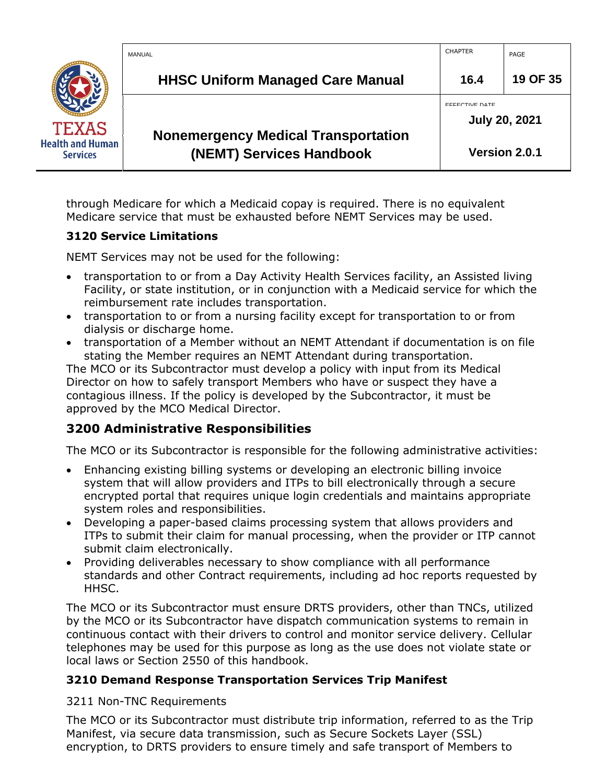|                                            | MANUAL                                                                 | <b>CHAPTER</b>                                | PAGE     |
|--------------------------------------------|------------------------------------------------------------------------|-----------------------------------------------|----------|
|                                            | <b>HHSC Uniform Managed Care Manual</b>                                | 16.4                                          | 19 OF 35 |
| <b>TEXAS</b>                               |                                                                        | <b>EFFECTIVE DATE</b><br><b>July 20, 2021</b> |          |
| <b>Health and Human</b><br><b>Services</b> | <b>Nonemergency Medical Transportation</b><br>(NEMT) Services Handbook | Version 2.0.1                                 |          |

through Medicare for which a Medicaid copay is required. There is no equivalent Medicare service that must be exhausted before NEMT Services may be used.

#### <span id="page-18-0"></span>**3120 Service Limitations**

NEMT Services may not be used for the following:

- transportation to or from a Day Activity Health Services facility, an Assisted living Facility, or state institution, or in conjunction with a Medicaid service for which the reimbursement rate includes transportation.
- transportation to or from a nursing facility except for transportation to or from dialysis or discharge home.
- transportation of a Member without an NEMT Attendant if documentation is on file stating the Member requires an NEMT Attendant during transportation.

The MCO or its Subcontractor must develop a policy with input from its Medical Director on how to safely transport Members who have or suspect they have a contagious illness. If the policy is developed by the Subcontractor, it must be approved by the MCO Medical Director.

## <span id="page-18-1"></span>**3200 Administrative Responsibilities**

The MCO or its Subcontractor is responsible for the following administrative activities:

- Enhancing existing billing systems or developing an electronic billing invoice system that will allow providers and ITPs to bill electronically through a secure encrypted portal that requires unique login credentials and maintains appropriate system roles and responsibilities.
- Developing a paper-based claims processing system that allows providers and ITPs to submit their claim for manual processing, when the provider or ITP cannot submit claim electronically.
- Providing deliverables necessary to show compliance with all performance standards and other Contract requirements, including ad hoc reports requested by HHSC.

The MCO or its Subcontractor must ensure DRTS providers, other than TNCs, utilized by the MCO or its Subcontractor have dispatch communication systems to remain in continuous contact with their drivers to control and monitor service delivery. Cellular telephones may be used for this purpose as long as the use does not violate state or local laws or Section 2550 of this handbook.

## <span id="page-18-2"></span>**3210 Demand Response Transportation Services Trip Manifest**

3211 Non-TNC Requirements

The MCO or its Subcontractor must distribute trip information, referred to as the Trip Manifest, via secure data transmission, such as Secure Sockets Layer (SSL) encryption, to DRTS providers to ensure timely and safe transport of Members to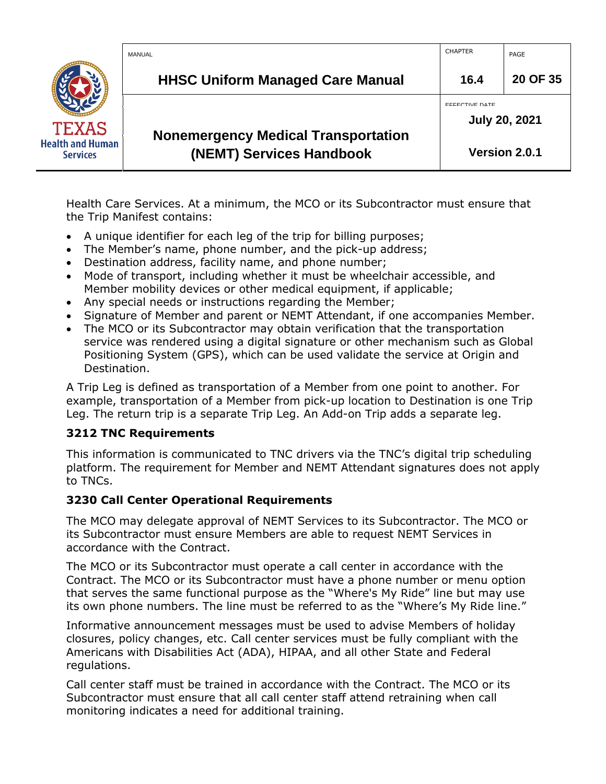|                                            | MANUAL                                                                 | <b>CHAPTER</b>                                | PAGE     |
|--------------------------------------------|------------------------------------------------------------------------|-----------------------------------------------|----------|
|                                            | <b>HHSC Uniform Managed Care Manual</b>                                | 16.4                                          | 20 OF 35 |
| <b>TEXAS</b>                               |                                                                        | <b>EFFECTIVE DATE</b><br><b>July 20, 2021</b> |          |
| <b>Health and Human</b><br><b>Services</b> | <b>Nonemergency Medical Transportation</b><br>(NEMT) Services Handbook | Version 2.0.1                                 |          |

Health Care Services. At a minimum, the MCO or its Subcontractor must ensure that the Trip Manifest contains:

- A unique identifier for each leg of the trip for billing purposes;
- The Member's name, phone number, and the pick-up address;
- Destination address, facility name, and phone number;
- Mode of transport, including whether it must be wheelchair accessible, and Member mobility devices or other medical equipment, if applicable;
- Any special needs or instructions regarding the Member;
- Signature of Member and parent or NEMT Attendant, if one accompanies Member.
- The MCO or its Subcontractor may obtain verification that the transportation service was rendered using a digital signature or other mechanism such as Global Positioning System (GPS), which can be used validate the service at Origin and Destination.

A Trip Leg is defined as transportation of a Member from one point to another. For example, transportation of a Member from pick-up location to Destination is one Trip Leg. The return trip is a separate Trip Leg. An Add-on Trip adds a separate leg.

#### <span id="page-19-0"></span>**3212 TNC Requirements**

This information is communicated to TNC drivers via the TNC's digital trip scheduling platform. The requirement for Member and NEMT Attendant signatures does not apply to TNCs.

#### <span id="page-19-1"></span>**3230 Call Center Operational Requirements**

The MCO may delegate approval of NEMT Services to its Subcontractor. The MCO or its Subcontractor must ensure Members are able to request NEMT Services in accordance with the Contract.

The MCO or its Subcontractor must operate a call center in accordance with the Contract. The MCO or its Subcontractor must have a phone number or menu option that serves the same functional purpose as the "Where's My Ride" line but may use its own phone numbers. The line must be referred to as the "Where's My Ride line."

Informative announcement messages must be used to advise Members of holiday closures, policy changes, etc. Call center services must be fully compliant with the Americans with Disabilities Act (ADA), HIPAA, and all other State and Federal regulations.

Call center staff must be trained in accordance with the Contract. The MCO or its Subcontractor must ensure that all call center staff attend retraining when call monitoring indicates a need for additional training.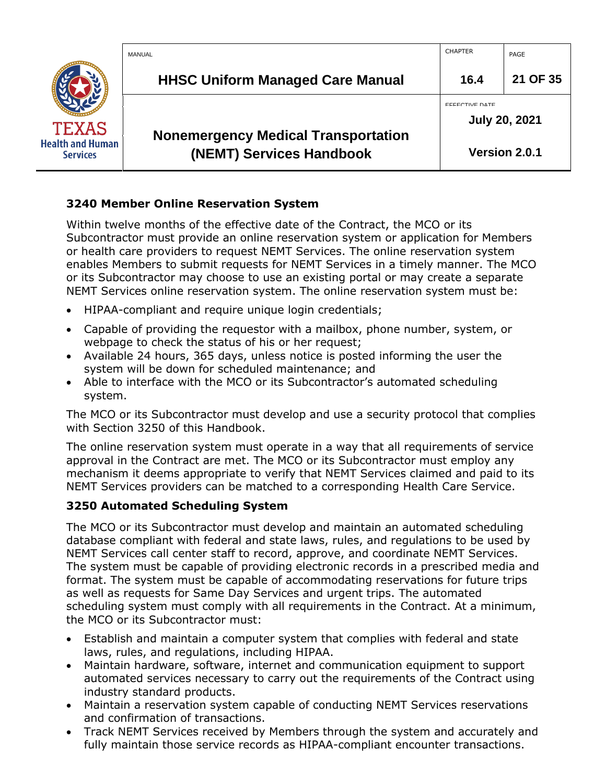|                                            | MANUAL                                                                 | <b>CHAPTER</b>                                | PAGE          |
|--------------------------------------------|------------------------------------------------------------------------|-----------------------------------------------|---------------|
|                                            | <b>HHSC Uniform Managed Care Manual</b>                                | 16.4                                          | 21 OF 35      |
| <b>TEXAS</b>                               |                                                                        | <b>FFFECTIVE DATE</b><br><b>July 20, 2021</b> |               |
| <b>Health and Human</b><br><b>Services</b> | <b>Nonemergency Medical Transportation</b><br>(NEMT) Services Handbook |                                               | Version 2.0.1 |

## <span id="page-20-0"></span>**3240 Member Online Reservation System**

Within twelve months of the effective date of the Contract, the MCO or its Subcontractor must provide an online reservation system or application for Members or health care providers to request NEMT Services. The online reservation system enables Members to submit requests for NEMT Services in a timely manner. The MCO or its Subcontractor may choose to use an existing portal or may create a separate NEMT Services online reservation system. The online reservation system must be:

- HIPAA-compliant and require unique login credentials;
- Capable of providing the requestor with a mailbox, phone number, system, or webpage to check the status of his or her request;
- Available 24 hours, 365 days, unless notice is posted informing the user the system will be down for scheduled maintenance; and
- Able to interface with the MCO or its Subcontractor's automated scheduling system.

The MCO or its Subcontractor must develop and use a security protocol that complies with Section 3250 of this Handbook.

The online reservation system must operate in a way that all requirements of service approval in the Contract are met. The MCO or its Subcontractor must employ any mechanism it deems appropriate to verify that NEMT Services claimed and paid to its NEMT Services providers can be matched to a corresponding Health Care Service.

## <span id="page-20-1"></span>**3250 Automated Scheduling System**

The MCO or its Subcontractor must develop and maintain an automated scheduling database compliant with federal and state laws, rules, and regulations to be used by NEMT Services call center staff to record, approve, and coordinate NEMT Services. The system must be capable of providing electronic records in a prescribed media and format. The system must be capable of accommodating reservations for future trips as well as requests for Same Day Services and urgent trips. The automated scheduling system must comply with all requirements in the Contract. At a minimum, the MCO or its Subcontractor must:

- Establish and maintain a computer system that complies with federal and state laws, rules, and regulations, including HIPAA.
- Maintain hardware, software, internet and communication equipment to support automated services necessary to carry out the requirements of the Contract using industry standard products.
- Maintain a reservation system capable of conducting NEMT Services reservations and confirmation of transactions.
- Track NEMT Services received by Members through the system and accurately and fully maintain those service records as HIPAA-compliant encounter transactions.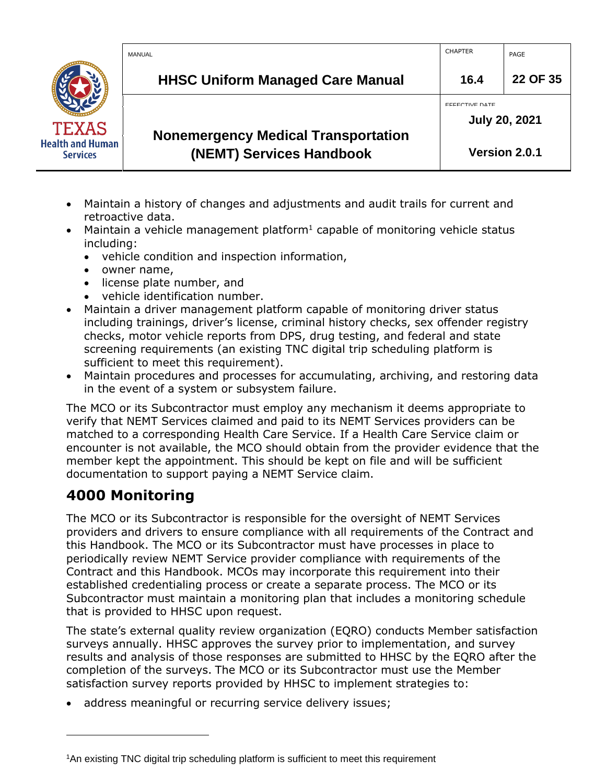|                                            | MANUAL                                                                 | <b>CHAPTER</b>                                | PAGE          |
|--------------------------------------------|------------------------------------------------------------------------|-----------------------------------------------|---------------|
|                                            | <b>HHSC Uniform Managed Care Manual</b>                                | 16.4                                          | 22 OF 35      |
| <b>TEXAS</b>                               |                                                                        | <b>EFFECTIVE DATE</b><br><b>July 20, 2021</b> |               |
| <b>Health and Human</b><br><b>Services</b> | <b>Nonemergency Medical Transportation</b><br>(NEMT) Services Handbook |                                               | Version 2.0.1 |

- Maintain a history of changes and adjustments and audit trails for current and retroactive data.
- Maintain a vehicle management platform<sup>1</sup> capable of monitoring vehicle status including:
	- vehicle condition and inspection information,
	- owner name,
	- license plate number, and
	- vehicle identification number.
- Maintain a driver management platform capable of monitoring driver status including trainings, driver's license, criminal history checks, sex offender registry checks, motor vehicle reports from DPS, drug testing, and federal and state screening requirements (an existing TNC digital trip scheduling platform is sufficient to meet this requirement).
- Maintain procedures and processes for accumulating, archiving, and restoring data in the event of a system or subsystem failure.

The MCO or its Subcontractor must employ any mechanism it deems appropriate to verify that NEMT Services claimed and paid to its NEMT Services providers can be matched to a corresponding Health Care Service. If a Health Care Service claim or encounter is not available, the MCO should obtain from the provider evidence that the member kept the appointment. This should be kept on file and will be sufficient documentation to support paying a NEMT Service claim.

# <span id="page-21-0"></span>**4000 Monitoring**

The MCO or its Subcontractor is responsible for the oversight of NEMT Services providers and drivers to ensure compliance with all requirements of the Contract and this Handbook. The MCO or its Subcontractor must have processes in place to periodically review NEMT Service provider compliance with requirements of the Contract and this Handbook. MCOs may incorporate this requirement into their established credentialing process or create a separate process. The MCO or its Subcontractor must maintain a monitoring plan that includes a monitoring schedule that is provided to HHSC upon request.

The state's external quality review organization (EQRO) conducts Member satisfaction surveys annually. HHSC approves the survey prior to implementation, and survey results and analysis of those responses are submitted to HHSC by the EQRO after the completion of the surveys. The MCO or its Subcontractor must use the Member satisfaction survey reports provided by HHSC to implement strategies to:

• address meaningful or recurring service delivery issues;

<sup>1</sup>An existing TNC digital trip scheduling platform is sufficient to meet this requirement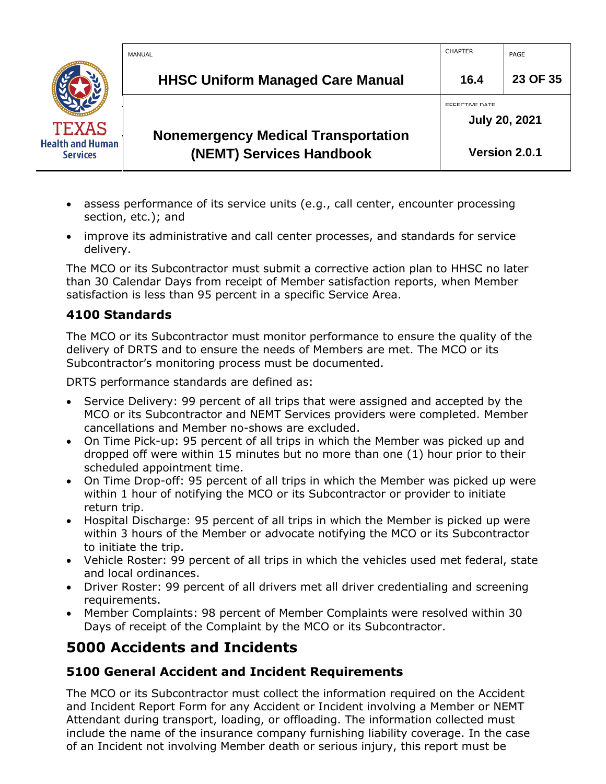|                                            | MANUAL                                                                 | <b>CHAPTER</b>                                | PAGE          |
|--------------------------------------------|------------------------------------------------------------------------|-----------------------------------------------|---------------|
|                                            | <b>HHSC Uniform Managed Care Manual</b>                                | 16.4                                          | 23 OF 35      |
| <b>TEXAS</b>                               |                                                                        | <b>EFFECTIVE DATE</b><br><b>July 20, 2021</b> |               |
| <b>Health and Human</b><br><b>Services</b> | <b>Nonemergency Medical Transportation</b><br>(NEMT) Services Handbook |                                               | Version 2.0.1 |

- assess performance of its service units (e.g., call center, encounter processing section, etc.); and
- improve its administrative and call center processes, and standards for service delivery.

The MCO or its Subcontractor must submit a corrective action plan to HHSC no later than 30 Calendar Days from receipt of Member satisfaction reports, when Member satisfaction is less than 95 percent in a specific Service Area.

## <span id="page-22-0"></span>**4100 Standards**

The MCO or its Subcontractor must monitor performance to ensure the quality of the delivery of DRTS and to ensure the needs of Members are met. The MCO or its Subcontractor's monitoring process must be documented.

DRTS performance standards are defined as:

- Service Delivery: 99 percent of all trips that were assigned and accepted by the MCO or its Subcontractor and NEMT Services providers were completed. Member cancellations and Member no-shows are excluded.
- On Time Pick-up: 95 percent of all trips in which the Member was picked up and dropped off were within 15 minutes but no more than one (1) hour prior to their scheduled appointment time.
- On Time Drop-off: 95 percent of all trips in which the Member was picked up were within 1 hour of notifying the MCO or its Subcontractor or provider to initiate return trip.
- Hospital Discharge: 95 percent of all trips in which the Member is picked up were within 3 hours of the Member or advocate notifying the MCO or its Subcontractor to initiate the trip.
- Vehicle Roster: 99 percent of all trips in which the vehicles used met federal, state and local ordinances.
- Driver Roster: 99 percent of all drivers met all driver credentialing and screening requirements.
- Member Complaints: 98 percent of Member Complaints were resolved within 30 Days of receipt of the Complaint by the MCO or its Subcontractor.

## <span id="page-22-1"></span>**5000 Accidents and Incidents**

## <span id="page-22-2"></span>**5100 General Accident and Incident Requirements**

The MCO or its Subcontractor must collect the information required on the Accident and Incident Report Form for any Accident or Incident involving a Member or NEMT Attendant during transport, loading, or offloading. The information collected must include the name of the insurance company furnishing liability coverage. In the case of an Incident not involving Member death or serious injury, this report must be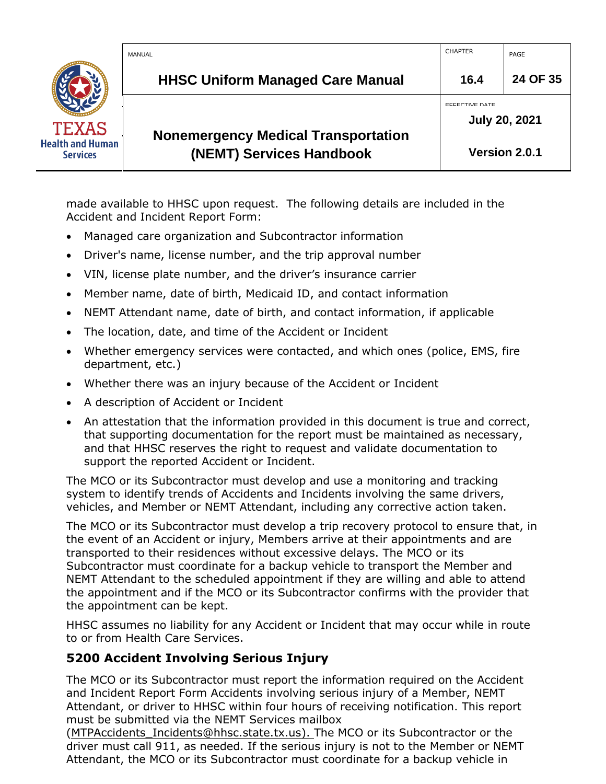|                                            | MANUAL                                                                 | <b>CHAPTER</b>        | PAGE                 |
|--------------------------------------------|------------------------------------------------------------------------|-----------------------|----------------------|
|                                            | <b>HHSC Uniform Managed Care Manual</b>                                | 16.4                  | 24 OF 35             |
| <b>TEXAS</b>                               |                                                                        | <b>EFFECTIVE DATE</b> | <b>July 20, 2021</b> |
| <b>Health and Human</b><br><b>Services</b> | <b>Nonemergency Medical Transportation</b><br>(NEMT) Services Handbook |                       | Version 2.0.1        |

made available to HHSC upon request. The following details are included in the Accident and Incident Report Form:

- Managed care organization and Subcontractor information
- Driver's name, license number, and the trip approval number
- VIN, license plate number, and the driver's insurance carrier
- Member name, date of birth, Medicaid ID, and contact information
- NEMT Attendant name, date of birth, and contact information, if applicable
- The location, date, and time of the Accident or Incident
- Whether emergency services were contacted, and which ones (police, EMS, fire department, etc.)
- Whether there was an injury because of the Accident or Incident
- A description of Accident or Incident
- An attestation that the information provided in this document is true and correct, that supporting documentation for the report must be maintained as necessary, and that HHSC reserves the right to request and validate documentation to support the reported Accident or Incident.

The MCO or its Subcontractor must develop and use a monitoring and tracking system to identify trends of Accidents and Incidents involving the same drivers, vehicles, and Member or NEMT Attendant, including any corrective action taken.

The MCO or its Subcontractor must develop a trip recovery protocol to ensure that, in the event of an Accident or injury, Members arrive at their appointments and are transported to their residences without excessive delays. The MCO or its Subcontractor must coordinate for a backup vehicle to transport the Member and NEMT Attendant to the scheduled appointment if they are willing and able to attend the appointment and if the MCO or its Subcontractor confirms with the provider that the appointment can be kept.

HHSC assumes no liability for any Accident or Incident that may occur while in route to or from Health Care Services.

## <span id="page-23-0"></span>**5200 Accident Involving Serious Injury**

The MCO or its Subcontractor must report the information required on the Accident and Incident Report Form Accidents involving serious injury of a Member, NEMT Attendant, or driver to HHSC within four hours of receiving notification. This report must be submitted via the NEMT Services mailbox

([MTPAccidents\\_Incidents@hhsc.state.tx.us\).](mailto:TPAccidents_Incidents@hhsc.state.tx.us)) The MCO or its Subcontractor or the driver must call 911, as needed. If the serious injury is not to the Member or NEMT Attendant, the MCO or its Subcontractor must coordinate for a backup vehicle in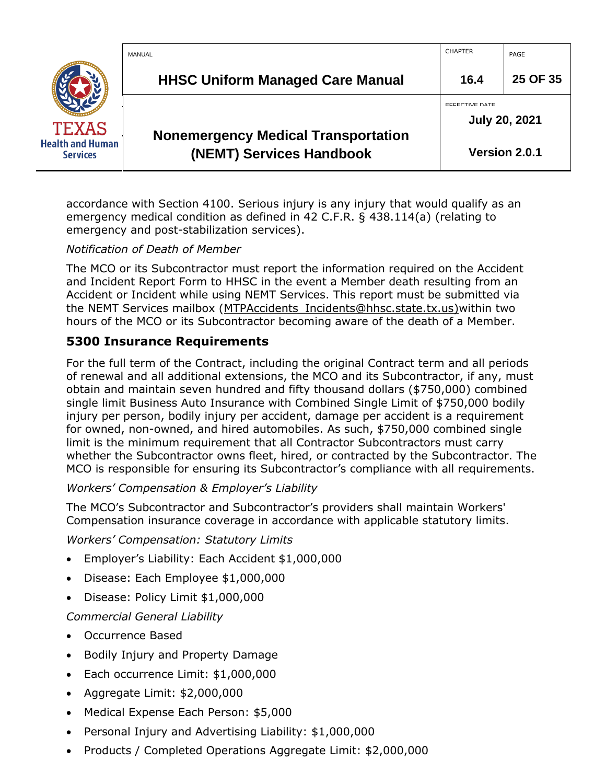|                                            | MANUAL                                                                 | <b>CHAPTER</b>                                | PAGE     |
|--------------------------------------------|------------------------------------------------------------------------|-----------------------------------------------|----------|
|                                            | <b>HHSC Uniform Managed Care Manual</b>                                | 16.4                                          | 25 OF 35 |
| <b>TEXAS</b>                               |                                                                        | <b>EFFECTIVE DATE</b><br><b>July 20, 2021</b> |          |
| <b>Health and Human</b><br><b>Services</b> | <b>Nonemergency Medical Transportation</b><br>(NEMT) Services Handbook | Version 2.0.1                                 |          |

accordance with Section 4100. Serious injury is any injury that would qualify as an emergency medical condition as defined in 42 C.F.R. § 438.114(a) (relating to emergency and post-stabilization services).

#### *Notification of Death of Member*

The MCO or its Subcontractor must report the information required on the Accident and Incident Report Form to HHSC in the event a Member death resulting from an Accident or Incident while using NEMT Services. This report must be submitted via the NEMT Services mailbox ([MTPAccidents\\_Incidents@hhsc.state.tx.us\)w](mailto:TPAccidents_Incidents@hhsc.state.tx.us))ithin two hours of the MCO or its Subcontractor becoming aware of the death of a Member.

#### <span id="page-24-0"></span>**5300 Insurance Requirements**

For the full term of the Contract, including the original Contract term and all periods of renewal and all additional extensions, the MCO and its Subcontractor, if any, must obtain and maintain seven hundred and fifty thousand dollars (\$750,000) combined single limit Business Auto Insurance with Combined Single Limit of \$750,000 bodily injury per person, bodily injury per accident, damage per accident is a requirement for owned, non-owned, and hired automobiles. As such, \$750,000 combined single limit is the minimum requirement that all Contractor Subcontractors must carry whether the Subcontractor owns fleet, hired, or contracted by the Subcontractor. The MCO is responsible for ensuring its Subcontractor's compliance with all requirements.

#### *Workers' Compensation & Employer's Liability*

The MCO's Subcontractor and Subcontractor's providers shall maintain Workers' Compensation insurance coverage in accordance with applicable statutory limits.

*Workers' Compensation: Statutory Limits*

- Employer's Liability: Each Accident \$1,000,000
- Disease: Each Employee \$1,000,000
- Disease: Policy Limit \$1,000,000

*Commercial General Liability*

- Occurrence Based
- Bodily Injury and Property Damage
- Each occurrence Limit: \$1,000,000
- Aggregate Limit: \$2,000,000
- Medical Expense Each Person: \$5,000
- Personal Injury and Advertising Liability: \$1,000,000
- Products / Completed Operations Aggregate Limit: \$2,000,000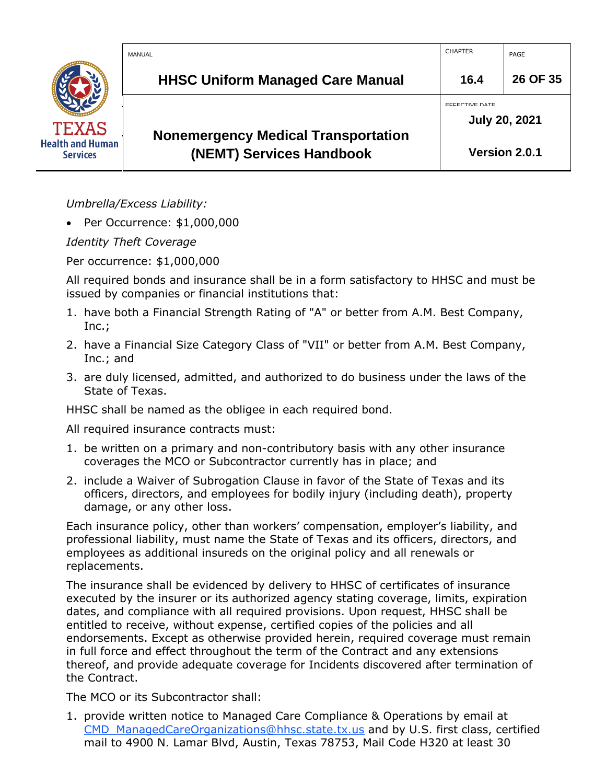|                                            | MANUAL                                                                 | <b>CHAPTER</b>                                | PAGE          |
|--------------------------------------------|------------------------------------------------------------------------|-----------------------------------------------|---------------|
|                                            | <b>HHSC Uniform Managed Care Manual</b>                                | 16.4                                          | 26 OF 35      |
| <b>TEXAS</b>                               |                                                                        | <b>EFFECTIVE DATE</b><br><b>July 20, 2021</b> |               |
| <b>Health and Human</b><br><b>Services</b> | <b>Nonemergency Medical Transportation</b><br>(NEMT) Services Handbook |                                               | Version 2.0.1 |

*Umbrella/Excess Liability:*

• Per Occurrence: \$1,000,000

*Identity Theft Coverage*

Per occurrence: \$1,000,000

All required bonds and insurance shall be in a form satisfactory to HHSC and must be issued by companies or financial institutions that:

- 1. have both a Financial Strength Rating of "A" or better from A.M. Best Company, Inc.;
- 2. have a Financial Size Category Class of "VII" or better from A.M. Best Company, Inc.; and
- 3. are duly licensed, admitted, and authorized to do business under the laws of the State of Texas.

HHSC shall be named as the obligee in each required bond.

All required insurance contracts must:

- 1. be written on a primary and non-contributory basis with any other insurance coverages the MCO or Subcontractor currently has in place; and
- 2. include a Waiver of Subrogation Clause in favor of the State of Texas and its officers, directors, and employees for bodily injury (including death), property damage, or any other loss.

Each insurance policy, other than workers' compensation, employer's liability, and professional liability, must name the State of Texas and its officers, directors, and employees as additional insureds on the original policy and all renewals or replacements.

The insurance shall be evidenced by delivery to HHSC of certificates of insurance executed by the insurer or its authorized agency stating coverage, limits, expiration dates, and compliance with all required provisions. Upon request, HHSC shall be entitled to receive, without expense, certified copies of the policies and all endorsements. Except as otherwise provided herein, required coverage must remain in full force and effect throughout the term of the Contract and any extensions thereof, and provide adequate coverage for Incidents discovered after termination of the Contract.

The MCO or its Subcontractor shall:

1. provide written notice to Managed Care Compliance & Operations by email at [CMD\\_ManagedCareOrganizations@hhsc.state.tx.us](mailto:CMD_ManagedCareOrganizations@hhsc.state.tx.us) and by U.S. first class, certified mail to 4900 N. Lamar Blvd, Austin, Texas 78753, Mail Code H320 at least 30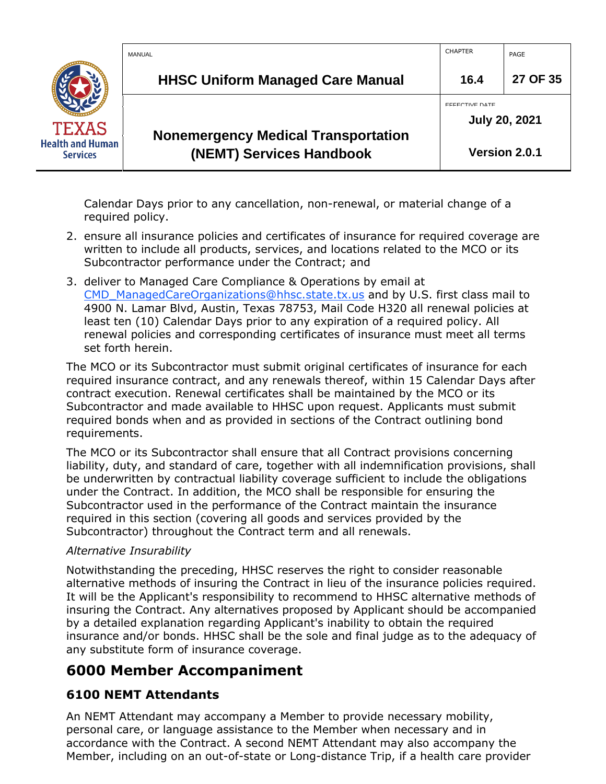|                                            | MANUAL                                                                 | <b>CHAPTER</b>                                | PAGE          |
|--------------------------------------------|------------------------------------------------------------------------|-----------------------------------------------|---------------|
|                                            | <b>HHSC Uniform Managed Care Manual</b>                                | 16.4                                          | 27 OF 35      |
| <b>TEXAS</b>                               |                                                                        | <b>FFFECTIVE DATE</b><br><b>July 20, 2021</b> |               |
| <b>Health and Human</b><br><b>Services</b> | <b>Nonemergency Medical Transportation</b><br>(NEMT) Services Handbook |                                               | Version 2.0.1 |

Calendar Days prior to any cancellation, non-renewal, or material change of a required policy.

- 2. ensure all insurance policies and certificates of insurance for required coverage are written to include all products, services, and locations related to the MCO or its Subcontractor performance under the Contract; and
- 3. deliver to Managed Care Compliance & Operations by email at [CMD\\_ManagedCareOrganizations@hhsc.state.tx.us](mailto:CMD_ManagedCareOrganizations@hhsc.state.tx.us) and by U.S. first class mail to 4900 N. Lamar Blvd, Austin, Texas 78753, Mail Code H320 all renewal policies at least ten (10) Calendar Days prior to any expiration of a required policy. All renewal policies and corresponding certificates of insurance must meet all terms set forth herein.

The MCO or its Subcontractor must submit original certificates of insurance for each required insurance contract, and any renewals thereof, within 15 Calendar Days after contract execution. Renewal certificates shall be maintained by the MCO or its Subcontractor and made available to HHSC upon request. Applicants must submit required bonds when and as provided in sections of the Contract outlining bond requirements.

The MCO or its Subcontractor shall ensure that all Contract provisions concerning liability, duty, and standard of care, together with all indemnification provisions, shall be underwritten by contractual liability coverage sufficient to include the obligations under the Contract. In addition, the MCO shall be responsible for ensuring the Subcontractor used in the performance of the Contract maintain the insurance required in this section (covering all goods and services provided by the Subcontractor) throughout the Contract term and all renewals.

#### *Alternative Insurability*

Notwithstanding the preceding, HHSC reserves the right to consider reasonable alternative methods of insuring the Contract in lieu of the insurance policies required. It will be the Applicant's responsibility to recommend to HHSC alternative methods of insuring the Contract. Any alternatives proposed by Applicant should be accompanied by a detailed explanation regarding Applicant's inability to obtain the required insurance and/or bonds. HHSC shall be the sole and final judge as to the adequacy of any substitute form of insurance coverage.

## <span id="page-26-0"></span>**6000 Member Accompaniment**

## <span id="page-26-1"></span>**6100 NEMT Attendants**

An NEMT Attendant may accompany a Member to provide necessary mobility, personal care, or language assistance to the Member when necessary and in accordance with the Contract. A second NEMT Attendant may also accompany the Member, including on an out-of-state or Long-distance Trip, if a health care provider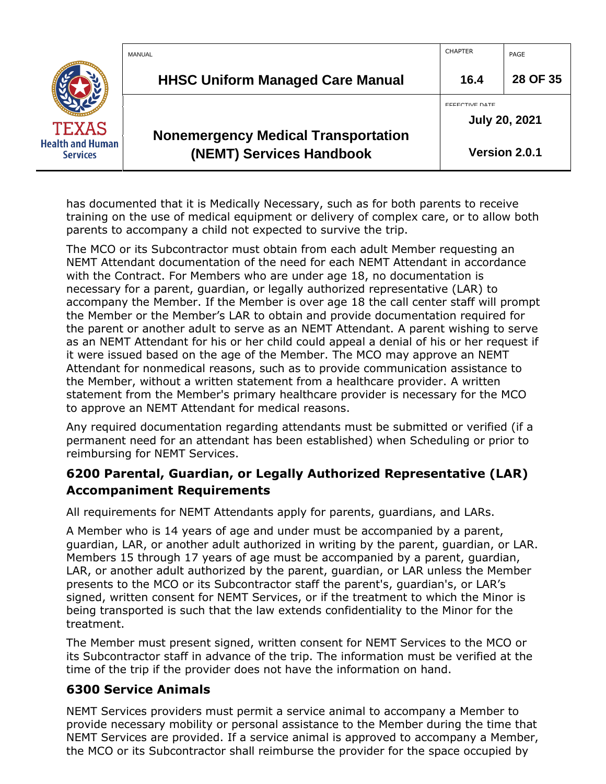|                                            | MANUAL                                                                 | <b>CHAPTER</b>                                | PAGE          |
|--------------------------------------------|------------------------------------------------------------------------|-----------------------------------------------|---------------|
|                                            | <b>HHSC Uniform Managed Care Manual</b>                                | 16.4                                          | 28 OF 35      |
| <b>TEXAS</b>                               |                                                                        | <b>EFFECTIVE DATE</b><br><b>July 20, 2021</b> |               |
| <b>Health and Human</b><br><b>Services</b> | <b>Nonemergency Medical Transportation</b><br>(NEMT) Services Handbook |                                               | Version 2.0.1 |

has documented that it is Medically Necessary, such as for both parents to receive training on the use of medical equipment or delivery of complex care, or to allow both parents to accompany a child not expected to survive the trip.

The MCO or its Subcontractor must obtain from each adult Member requesting an NEMT Attendant documentation of the need for each NEMT Attendant in accordance with the Contract. For Members who are under age 18, no documentation is necessary for a parent, guardian, or legally authorized representative (LAR) to accompany the Member. If the Member is over age 18 the call center staff will prompt the Member or the Member's LAR to obtain and provide documentation required for the parent or another adult to serve as an NEMT Attendant. A parent wishing to serve as an NEMT Attendant for his or her child could appeal a denial of his or her request if it were issued based on the age of the Member. The MCO may approve an NEMT Attendant for nonmedical reasons, such as to provide communication assistance to the Member, without a written statement from a healthcare provider. A written statement from the Member's primary healthcare provider is necessary for the MCO to approve an NEMT Attendant for medical reasons.

Any required documentation regarding attendants must be submitted or verified (if a permanent need for an attendant has been established) when Scheduling or prior to reimbursing for NEMT Services.

## <span id="page-27-0"></span>**6200 Parental, Guardian, or Legally Authorized Representative (LAR) Accompaniment Requirements**

All requirements for NEMT Attendants apply for parents, guardians, and LARs.

A Member who is 14 years of age and under must be accompanied by a parent, guardian, LAR, or another adult authorized in writing by the parent, guardian, or LAR. Members 15 through 17 years of age must be accompanied by a parent, guardian, LAR, or another adult authorized by the parent, guardian, or LAR unless the Member presents to the MCO or its Subcontractor staff the parent's, guardian's, or LAR's signed, written consent for NEMT Services, or if the treatment to which the Minor is being transported is such that the law extends confidentiality to the Minor for the treatment.

The Member must present signed, written consent for NEMT Services to the MCO or its Subcontractor staff in advance of the trip. The information must be verified at the time of the trip if the provider does not have the information on hand.

## <span id="page-27-1"></span>**6300 Service Animals**

NEMT Services providers must permit a service animal to accompany a Member to provide necessary mobility or personal assistance to the Member during the time that NEMT Services are provided. If a service animal is approved to accompany a Member, the MCO or its Subcontractor shall reimburse the provider for the space occupied by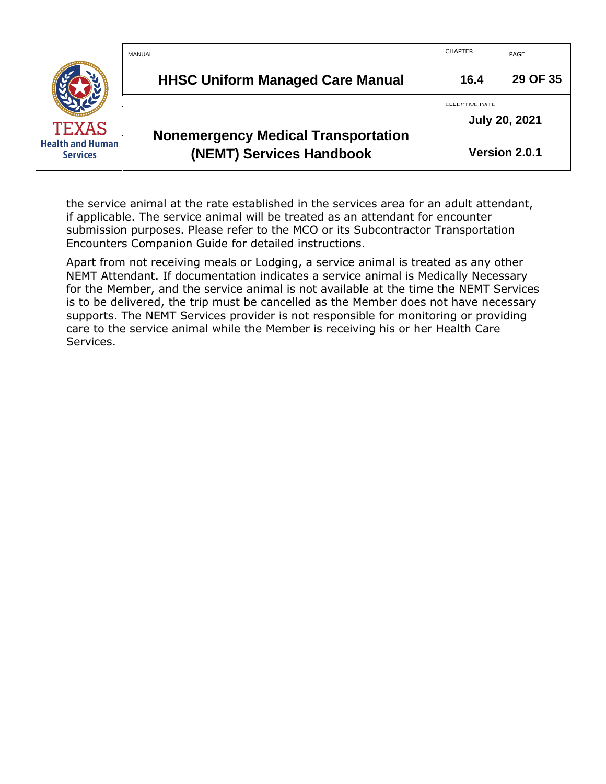|                                            | MANUAL                                                                 | <b>CHAPTER</b>                                | PAGE          |
|--------------------------------------------|------------------------------------------------------------------------|-----------------------------------------------|---------------|
|                                            | <b>HHSC Uniform Managed Care Manual</b>                                | 16.4                                          | 29 OF 35      |
| <b>TEXAS</b>                               |                                                                        | <b>EFFECTIVE DATE</b><br><b>July 20, 2021</b> |               |
| <b>Health and Human</b><br><b>Services</b> | <b>Nonemergency Medical Transportation</b><br>(NEMT) Services Handbook |                                               | Version 2.0.1 |

the service animal at the rate established in the services area for an adult attendant, if applicable. The service animal will be treated as an attendant for encounter submission purposes. Please refer to the MCO or its Subcontractor Transportation Encounters Companion Guide for detailed instructions.

Apart from not receiving meals or Lodging, a service animal is treated as any other NEMT Attendant. If documentation indicates a service animal is Medically Necessary for the Member, and the service animal is not available at the time the NEMT Services is to be delivered, the trip must be cancelled as the Member does not have necessary supports. The NEMT Services provider is not responsible for monitoring or providing care to the service animal while the Member is receiving his or her Health Care Services.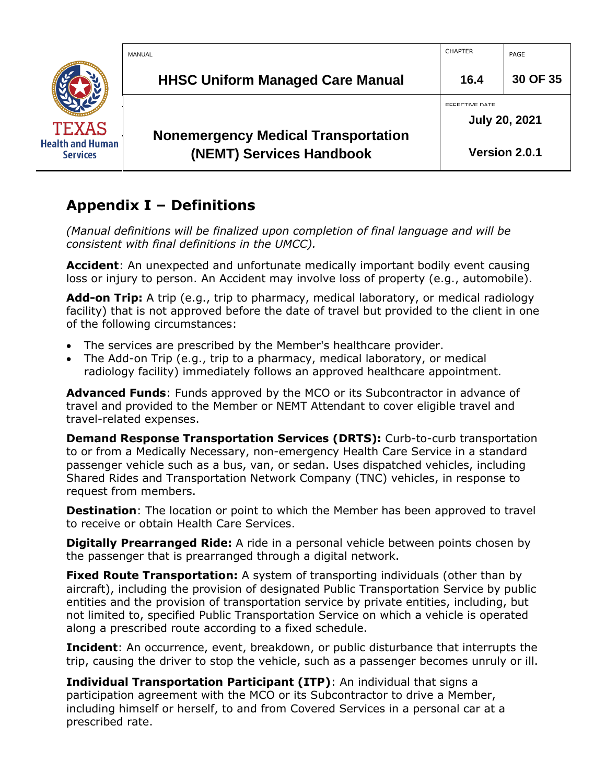

## <span id="page-29-0"></span>**Appendix I – Definitions**

*(Manual definitions will be finalized upon completion of final language and will be consistent with final definitions in the UMCC).*

**Accident**: An unexpected and unfortunate medically important bodily event causing loss or injury to person. An Accident may involve loss of property (e.g., automobile).

**Add-on Trip:** A trip (e.g., trip to pharmacy, medical laboratory, or medical radiology facility) that is not approved before the date of travel but provided to the client in one of the following circumstances:

- The services are prescribed by the Member's healthcare provider.
- The Add-on Trip (e.g., trip to a pharmacy, medical laboratory, or medical radiology facility) immediately follows an approved healthcare appointment.

**Advanced Funds**: Funds approved by the MCO or its Subcontractor in advance of travel and provided to the Member or NEMT Attendant to cover eligible travel and travel-related expenses.

**Demand Response Transportation Services (DRTS):** Curb-to-curb transportation to or from a Medically Necessary, non-emergency Health Care Service in a standard passenger vehicle such as a bus, van, or sedan. Uses dispatched vehicles, including Shared Rides and Transportation Network Company (TNC) vehicles, in response to request from members.

**Destination**: The location or point to which the Member has been approved to travel to receive or obtain Health Care Services.

**Digitally Prearranged Ride:** A ride in a personal vehicle between points chosen by the passenger that is prearranged through a digital network.

**Fixed Route Transportation:** A system of transporting individuals (other than by aircraft), including the provision of designated Public Transportation Service by public entities and the provision of transportation service by private entities, including, but not limited to, specified Public Transportation Service on which a vehicle is operated along a prescribed route according to a fixed schedule.

**Incident**: An occurrence, event, breakdown, or public disturbance that interrupts the trip, causing the driver to stop the vehicle, such as a passenger becomes unruly or ill.

**Individual Transportation Participant (ITP)**: An individual that signs a participation agreement with the MCO or its Subcontractor to drive a Member, including himself or herself, to and from Covered Services in a personal car at a prescribed rate.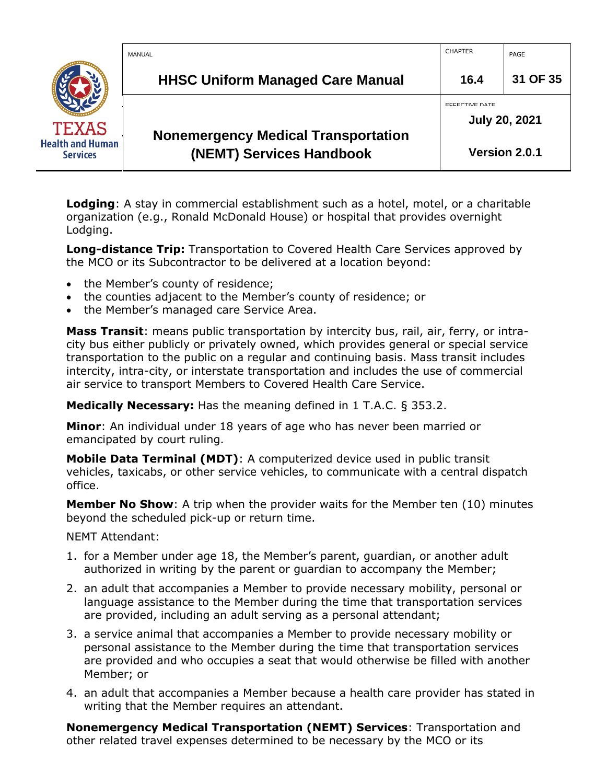|                                            | MANUAL                                                                 | <b>CHAPTER</b>                                | PAGE          |
|--------------------------------------------|------------------------------------------------------------------------|-----------------------------------------------|---------------|
|                                            | <b>HHSC Uniform Managed Care Manual</b>                                | 16.4                                          | 31 OF 35      |
| <b>TEXAS</b>                               |                                                                        | <b>EFFECTIVE DATE</b><br><b>July 20, 2021</b> |               |
| <b>Health and Human</b><br><b>Services</b> | <b>Nonemergency Medical Transportation</b><br>(NEMT) Services Handbook |                                               | Version 2.0.1 |

**Lodging**: A stay in commercial establishment such as a hotel, motel, or a charitable organization (e.g., Ronald McDonald House) or hospital that provides overnight Lodging.

**Long-distance Trip:** Transportation to Covered Health Care Services approved by the MCO or its Subcontractor to be delivered at a location beyond:

- the Member's county of residence;
- the counties adjacent to the Member's county of residence; or
- the Member's managed care Service Area.

**Mass Transit**: means public transportation by intercity bus, rail, air, ferry, or intracity bus either publicly or privately owned, which provides general or special service transportation to the public on a regular and continuing basis. Mass transit includes intercity, intra-city, or interstate transportation and includes the use of commercial air service to transport Members to Covered Health Care Service.

**Medically Necessary:** Has the meaning defined in 1 T.A.C. § 353.2.

**Minor**: An individual under 18 years of age who has never been married or emancipated by court ruling.

**Mobile Data Terminal (MDT)**: A computerized device used in public transit vehicles, taxicabs, or other service vehicles, to communicate with a central dispatch office.

**Member No Show**: A trip when the provider waits for the Member ten (10) minutes beyond the scheduled pick-up or return time.

#### NEMT Attendant:

- 1. for a Member under age 18, the Member's parent, guardian, or another adult authorized in writing by the parent or guardian to accompany the Member;
- 2. an adult that accompanies a Member to provide necessary mobility, personal or language assistance to the Member during the time that transportation services are provided, including an adult serving as a personal attendant;
- 3. a service animal that accompanies a Member to provide necessary mobility or personal assistance to the Member during the time that transportation services are provided and who occupies a seat that would otherwise be filled with another Member; or
- 4. an adult that accompanies a Member because a health care provider has stated in writing that the Member requires an attendant.

**Nonemergency Medical Transportation (NEMT) Services**: Transportation and other related travel expenses determined to be necessary by the MCO or its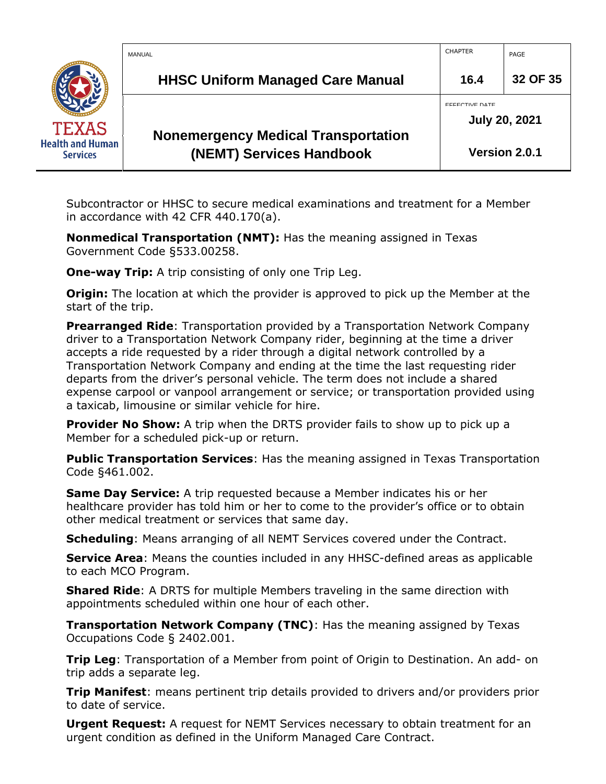|                                            | MANUAL                                                                 | <b>CHAPTER</b>                                | PAGE          |
|--------------------------------------------|------------------------------------------------------------------------|-----------------------------------------------|---------------|
|                                            | <b>HHSC Uniform Managed Care Manual</b>                                | 16.4                                          | 32 OF 35      |
| <b>TEXAS</b>                               |                                                                        | <b>EFFECTIVE DATE</b><br><b>July 20, 2021</b> |               |
| <b>Health and Human</b><br><b>Services</b> | <b>Nonemergency Medical Transportation</b><br>(NEMT) Services Handbook |                                               | Version 2.0.1 |

Subcontractor or HHSC to secure medical examinations and treatment for a Member in accordance with 42 CFR 440.170(a).

**Nonmedical Transportation (NMT):** Has the meaning assigned in Texas Government Code §533.00258.

**One-way Trip:** A trip consisting of only one Trip Leg.

**Origin:** The location at which the provider is approved to pick up the Member at the start of the trip.

**Prearranged Ride**: Transportation provided by a Transportation Network Company driver to a Transportation Network Company rider, beginning at the time a driver accepts a ride requested by a rider through a digital network controlled by a Transportation Network Company and ending at the time the last requesting rider departs from the driver's personal vehicle. The term does not include a shared expense carpool or vanpool arrangement or service; or transportation provided using a taxicab, limousine or similar vehicle for hire.

**Provider No Show:** A trip when the DRTS provider fails to show up to pick up a Member for a scheduled pick-up or return.

**Public Transportation Services**: Has the meaning assigned in Texas Transportation Code §461.002.

**Same Day Service:** A trip requested because a Member indicates his or her healthcare provider has told him or her to come to the provider's office or to obtain other medical treatment or services that same day.

**Scheduling**: Means arranging of all NEMT Services covered under the Contract.

**Service Area**: Means the counties included in any HHSC-defined areas as applicable to each MCO Program.

**Shared Ride**: A DRTS for multiple Members traveling in the same direction with appointments scheduled within one hour of each other.

**Transportation Network Company (TNC)**: Has the meaning assigned by Texas Occupations Code § 2402.001.

**Trip Leg**: Transportation of a Member from point of Origin to Destination. An add- on trip adds a separate leg.

**Trip Manifest**: means pertinent trip details provided to drivers and/or providers prior to date of service.

**Urgent Request:** A request for NEMT Services necessary to obtain treatment for an urgent condition as defined in the Uniform Managed Care Contract.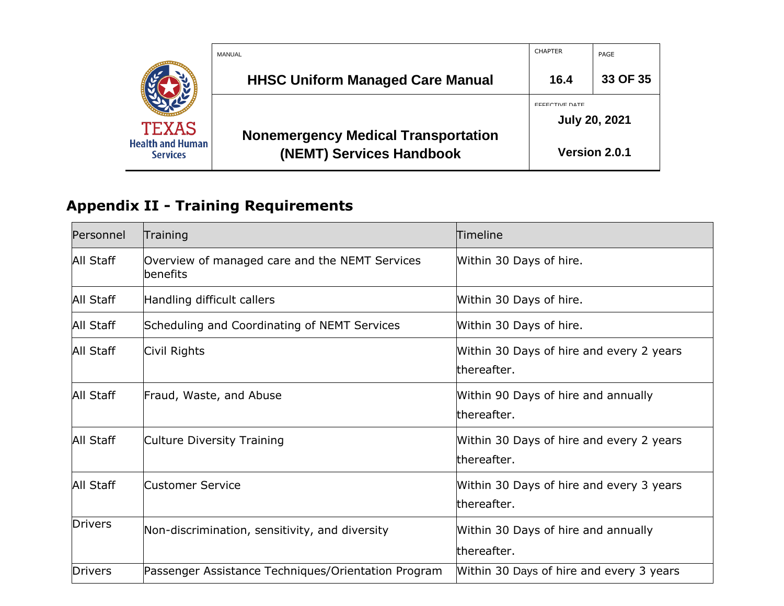|                                            | MANUAL                                     | <b>CHAPTER</b>        | PAGE                 |
|--------------------------------------------|--------------------------------------------|-----------------------|----------------------|
|                                            | <b>HHSC Uniform Managed Care Manual</b>    | 16.4                  | 33 OF 35             |
|                                            |                                            | <b>EFFECTIVE DATE</b> | <b>July 20, 2021</b> |
| <b>TEXAS</b>                               | <b>Nonemergency Medical Transportation</b> |                       |                      |
| <b>Health and Human</b><br><b>Services</b> | (NEMT) Services Handbook                   |                       | Version 2.0.1        |

# **Appendix II - Training Requirements**

<span id="page-32-0"></span>

| Personnel        | Training                                                   | Timeline                                                |
|------------------|------------------------------------------------------------|---------------------------------------------------------|
| All Staff        | Overview of managed care and the NEMT Services<br>benefits | Within 30 Days of hire.                                 |
| All Staff        | Handling difficult callers                                 | Within 30 Days of hire.                                 |
| All Staff        | Scheduling and Coordinating of NEMT Services               | Within 30 Days of hire.                                 |
| <b>All Staff</b> | Civil Rights                                               | Within 30 Days of hire and every 2 years<br>thereafter. |
| All Staff        | Fraud, Waste, and Abuse                                    | Within 90 Days of hire and annually<br>thereafter.      |
| All Staff        | Culture Diversity Training                                 | Within 30 Days of hire and every 2 years<br>thereafter. |
| <b>All Staff</b> | Customer Service                                           | Within 30 Days of hire and every 3 years<br>thereafter. |
| <b>Drivers</b>   | Non-discrimination, sensitivity, and diversity             | Within 30 Days of hire and annually<br>thereafter.      |
| <b>Drivers</b>   | Passenger Assistance Techniques/Orientation Program        | Within 30 Days of hire and every 3 years                |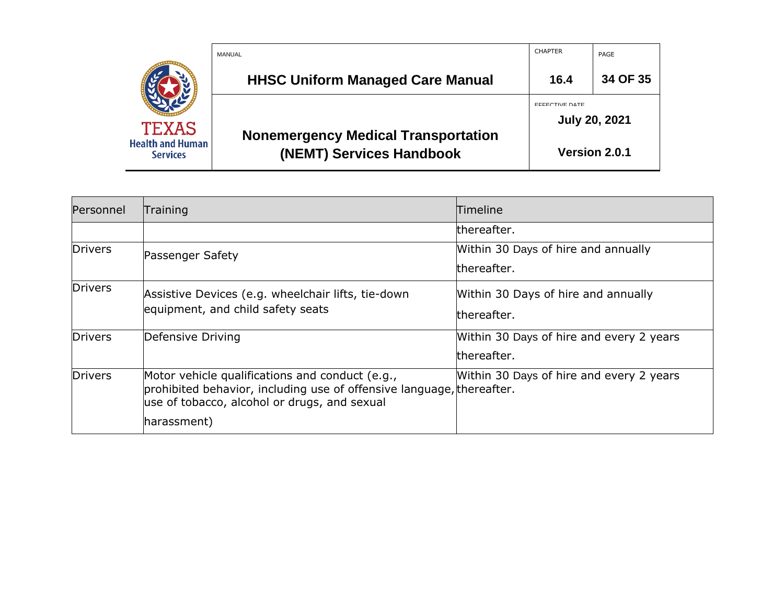|                                                            | MANUAL                                                                 | <b>CHAPTER</b>                                | PAGE     |
|------------------------------------------------------------|------------------------------------------------------------------------|-----------------------------------------------|----------|
|                                                            | <b>HHSC Uniform Managed Care Manual</b>                                | 16.4                                          | 34 OF 35 |
| <b>TEXAS</b><br><b>Health and Human</b><br><b>Services</b> | <b>Nonemergency Medical Transportation</b><br>(NEMT) Services Handbook | <b>EFFECTIVE DATE</b><br><b>July 20, 2021</b> |          |
|                                                            |                                                                        | Version 2.0.1                                 |          |

| Personnel      | Training                                                                                                                                                                 | <b>Timeline</b>                          |
|----------------|--------------------------------------------------------------------------------------------------------------------------------------------------------------------------|------------------------------------------|
|                |                                                                                                                                                                          | thereafter.                              |
| <b>Drivers</b> | Passenger Safety                                                                                                                                                         | Within 30 Days of hire and annually      |
|                |                                                                                                                                                                          | thereafter.                              |
| <b>Drivers</b> | Assistive Devices (e.g. wheelchair lifts, tie-down                                                                                                                       | Within 30 Days of hire and annually      |
|                | equipment, and child safety seats                                                                                                                                        | thereafter.                              |
| <b>Drivers</b> | Defensive Driving                                                                                                                                                        | Within 30 Days of hire and every 2 years |
|                |                                                                                                                                                                          | thereafter.                              |
| Drivers        | Motor vehicle qualifications and conduct (e.g.,<br>prohibited behavior, including use of offensive language, thereafter.<br>use of tobacco, alcohol or drugs, and sexual | Within 30 Days of hire and every 2 years |
|                | harassment)                                                                                                                                                              |                                          |